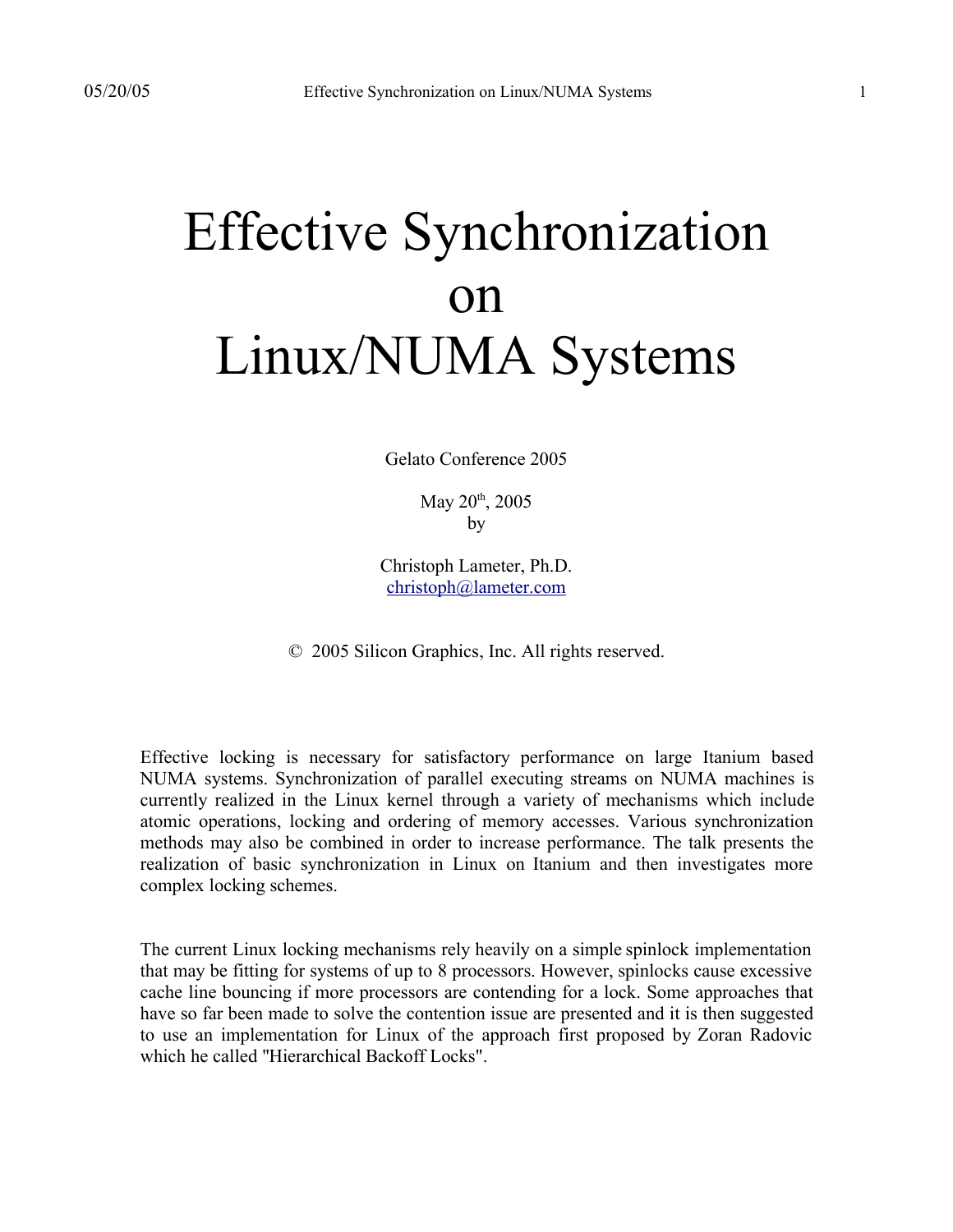# Effective Synchronization on Linux/NUMA Systems

Gelato Conference 2005

May 20<sup>th</sup>, 2005 by

Christoph Lameter, Ph.D. christoph@lameter.com

© 2005 Silicon Graphics, Inc. All rights reserved.

Effective locking is necessary for satisfactory performance on large Itanium based NUMA systems. Synchronization of parallel executing streams on NUMA machines is currently realized in the Linux kernel through a variety of mechanisms which include atomic operations, locking and ordering of memory accesses. Various synchronization methods may also be combined in order to increase performance. The talk presents the realization of basic synchronization in Linux on Itanium and then investigates more complex locking schemes.

The current Linux locking mechanisms rely heavily on a simple spinlock implementation that may be fitting for systems of up to 8 processors. However, spinlocks cause excessive cache line bouncing if more processors are contending for a lock. Some approaches that have so far been made to solve the contention issue are presented and it is then suggested to use an implementation for Linux of the approach first proposed by Zoran Radovic which he called "Hierarchical Backoff Locks".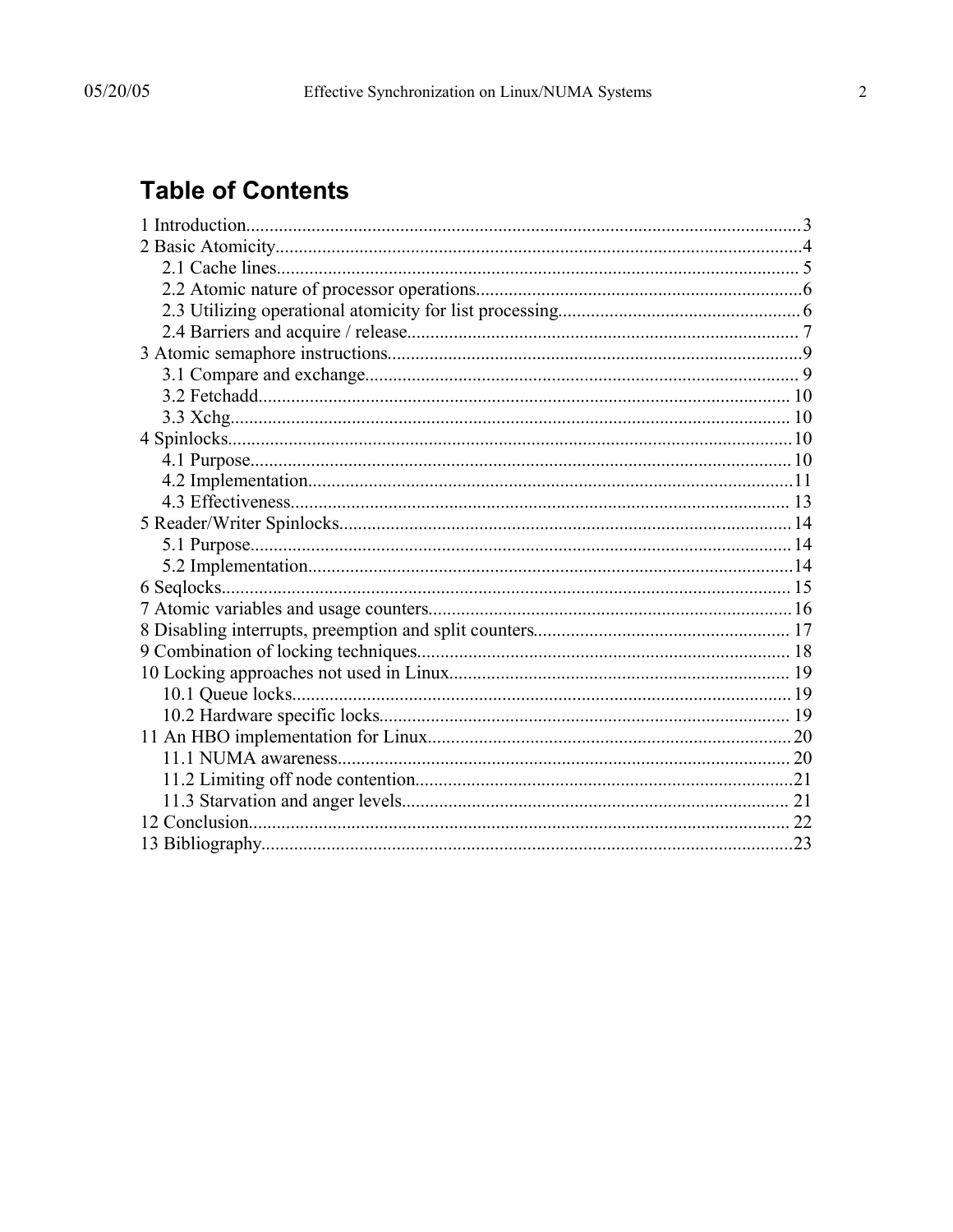# **Table of Contents**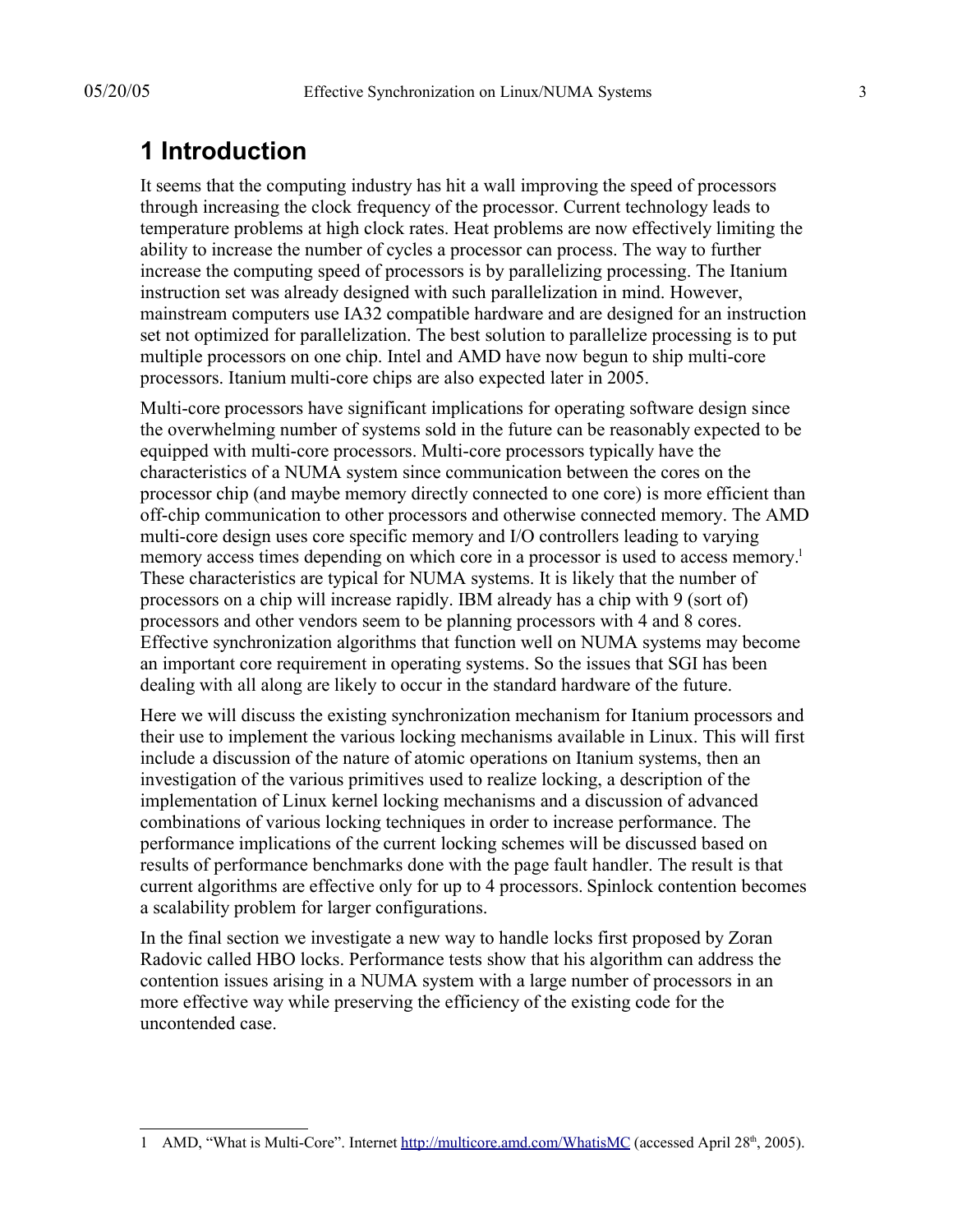# **1 Introduction**

It seems that the computing industry has hit a wall improving the speed of processors through increasing the clock frequency of the processor. Current technology leads to temperature problems at high clock rates. Heat problems are now effectively limiting the ability to increase the number of cycles a processor can process. The way to further increase the computing speed of processors is by parallelizing processing. The Itanium instruction set was already designed with such parallelization in mind. However, mainstream computers use IA32 compatible hardware and are designed for an instruction set not optimized for parallelization. The best solution to parallelize processing is to put multiple processors on one chip. Intel and AMD have now begun to ship multi-core processors. Itanium multi-core chips are also expected later in 2005.

Multi-core processors have significant implications for operating software design since the overwhelming number of systems sold in the future can be reasonably expected to be equipped with multi-core processors. Multi-core processors typically have the characteristics of a NUMA system since communication between the cores on the processor chip (and maybe memory directly connected to one core) is more efficient than off-chip communication to other processors and otherwise connected memory. The AMD multi-core design uses core specific memory and I/O controllers leading to varying memory access times depending on which core in a processor is used to access memory.<sup>1</sup> These characteristics are typical for NUMA systems. It is likely that the number of processors on a chip will increase rapidly. IBM already has a chip with 9 (sort of) processors and other vendors seem to be planning processors with 4 and 8 cores. Effective synchronization algorithms that function well on NUMA systems may become an important core requirement in operating systems. So the issues that SGI has been dealing with all along are likely to occur in the standard hardware of the future.

Here we will discuss the existing synchronization mechanism for Itanium processors and their use to implement the various locking mechanisms available in Linux. This will first include a discussion of the nature of atomic operations on Itanium systems, then an investigation of the various primitives used to realize locking, a description of the implementation of Linux kernel locking mechanisms and a discussion of advanced combinations of various locking techniques in order to increase performance. The performance implications of the current locking schemes will be discussed based on results of performance benchmarks done with the page fault handler. The result is that current algorithms are effective only for up to 4 processors. Spinlock contention becomes a scalability problem for larger configurations.

In the final section we investigate a new way to handle locks first proposed by Zoran Radovic called HBO locks. Performance tests show that his algorithm can address the contention issues arising in a NUMA system with a large number of processors in an more effective way while preserving the efficiency of the existing code for the uncontended case.

<sup>1</sup> AMD, "What is Multi-Core". Internet http://multicore.amd.com/WhatisMC (accessed April 28<sup>th</sup>, 2005).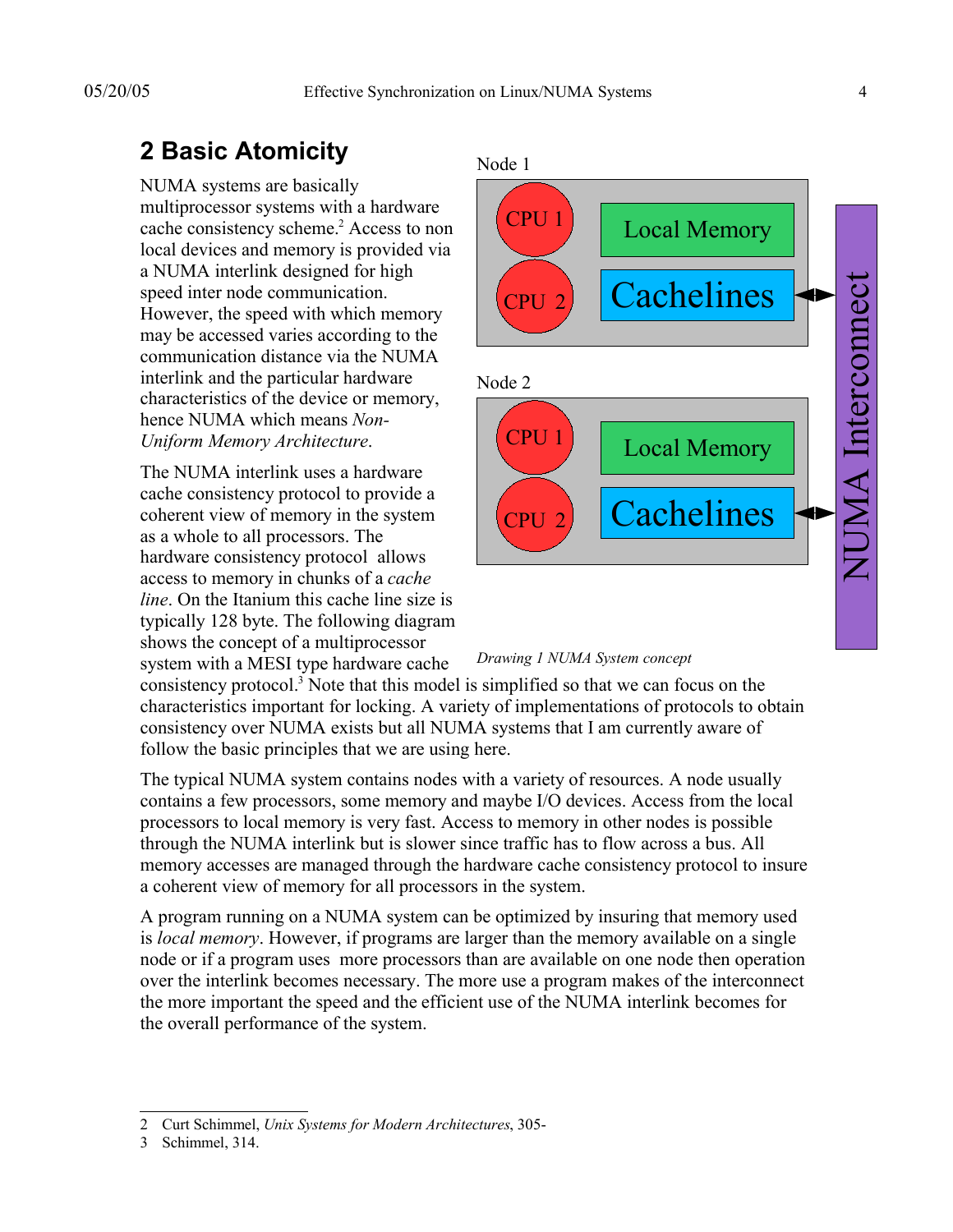# **2 Basic Atomicity**

NUMA systems are basically multiprocessor systems with a hardware cache consistency scheme.<sup>2</sup> Access to non local devices and memory is provided via a NUMA interlink designed for high speed inter node communication. However, the speed with which memory may be accessed varies according to the communication distance via the NUMA interlink and the particular hardware characteristics of the device or memory, hence NUMA which means *Non-Uniform Memory Architecture*.

The NUMA interlink uses a hardware cache consistency protocol to provide a coherent view of memory in the system as a whole to all processors. The hardware consistency protocol allows access to memory in chunks of a *cache line*. On the Itanium this cache line size is typically 128 byte. The following diagram shows the concept of a multiprocessor system with a MESI type hardware cache



*Drawing 1 NUMA System concept*

consistency protocol. 3 Note that this model is simplified so that we can focus on the characteristics important for locking. A variety of implementations of protocols to obtain consistency over NUMA exists but all NUMA systems that I am currently aware of follow the basic principles that we are using here.

The typical NUMA system contains nodes with a variety of resources. A node usually contains a few processors, some memory and maybe I/O devices. Access from the local processors to local memory is very fast. Access to memory in other nodes is possible through the NUMA interlink but is slower since traffic has to flow across a bus. All memory accesses are managed through the hardware cache consistency protocol to insure a coherent view of memory for all processors in the system.

A program running on a NUMA system can be optimized by insuring that memory used is *local memory*. However, if programs are larger than the memory available on a single node or if a program uses more processors than are available on one node then operation over the interlink becomes necessary. The more use a program makes of the interconnect the more important the speed and the efficient use of the NUMA interlink becomes for the overall performance of the system.

<sup>2</sup> Curt Schimmel, *Unix Systems for Modern Architectures*, 305-

<sup>3</sup> Schimmel, 314.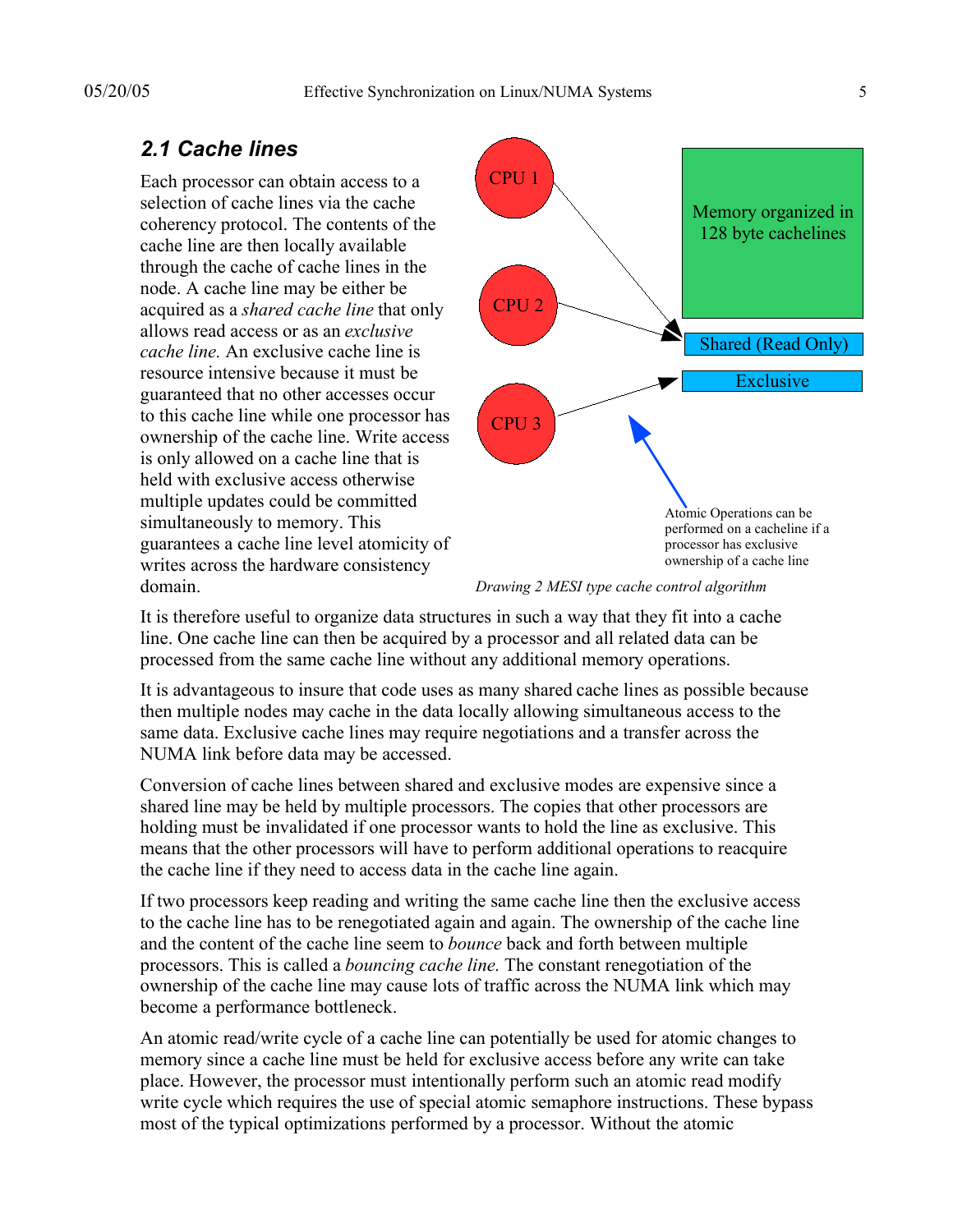#### *2.1 Cache lines*

Each processor can obtain access to a selection of cache lines via the cache coherency protocol. The contents of the cache line are then locally available through the cache of cache lines in the node. A cache line may be either be acquired as a *shared cache line* that only allows read access or as an *exclusive cache line.* An exclusive cache line is resource intensive because it must be guaranteed that no other accesses occur to this cache line while one processor has ownership of the cache line. Write access is only allowed on a cache line that is held with exclusive access otherwise multiple updates could be committed simultaneously to memory. This guarantees a cache line level atomicity of writes across the hardware consistency domain.



*Drawing 2 MESI type cache control algorithm*

It is therefore useful to organize data structures in such a way that they fit into a cache line. One cache line can then be acquired by a processor and all related data can be processed from the same cache line without any additional memory operations.

It is advantageous to insure that code uses as many shared cache lines as possible because then multiple nodes may cache in the data locally allowing simultaneous access to the same data. Exclusive cache lines may require negotiations and a transfer across the NUMA link before data may be accessed.

Conversion of cache lines between shared and exclusive modes are expensive since a shared line may be held by multiple processors. The copies that other processors are holding must be invalidated if one processor wants to hold the line as exclusive. This means that the other processors will have to perform additional operations to reacquire the cache line if they need to access data in the cache line again.

If two processors keep reading and writing the same cache line then the exclusive access to the cache line has to be renegotiated again and again. The ownership of the cache line and the content of the cache line seem to *bounce* back and forth between multiple processors. This is called a *bouncing cache line.* The constant renegotiation of the ownership of the cache line may cause lots of traffic across the NUMA link which may become a performance bottleneck.

An atomic read/write cycle of a cache line can potentially be used for atomic changes to memory since a cache line must be held for exclusive access before any write can take place. However, the processor must intentionally perform such an atomic read modify write cycle which requires the use of special atomic semaphore instructions. These bypass most of the typical optimizations performed by a processor. Without the atomic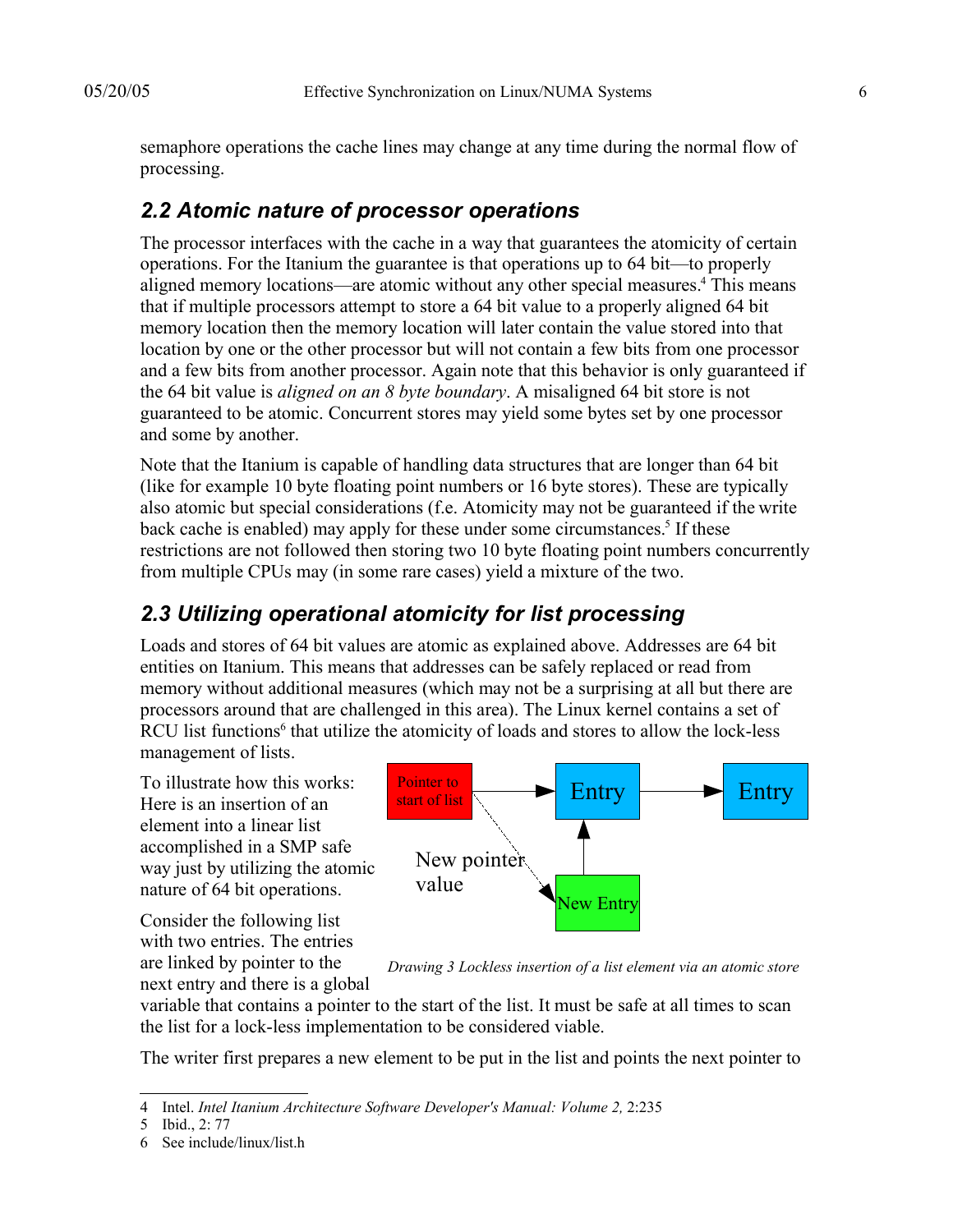semaphore operations the cache lines may change at any time during the normal flow of processing.

#### *2.2 Atomic nature of processor operations*

The processor interfaces with the cache in a way that guarantees the atomicity of certain operations. For the Itanium the guarantee is that operations up to 64 bit—to properly aligned memory locations—are atomic without any other special measures. 4 This means that if multiple processors attempt to store a 64 bit value to a properly aligned 64 bit memory location then the memory location will later contain the value stored into that location by one or the other processor but will not contain a few bits from one processor and a few bits from another processor. Again note that this behavior is only guaranteed if the 64 bit value is *aligned on an 8 byte boundary*. A misaligned 64 bit store is not guaranteed to be atomic. Concurrent stores may yield some bytes set by one processor and some by another.

Note that the Itanium is capable of handling data structures that are longer than 64 bit (like for example 10 byte floating point numbers or 16 byte stores). These are typically also atomic but special considerations (f.e. Atomicity may not be guaranteed if the write back cache is enabled) may apply for these under some circumstances.<sup>5</sup> If these restrictions are not followed then storing two 10 byte floating point numbers concurrently from multiple CPUs may (in some rare cases) yield a mixture of the two.

### *2.3 Utilizing operational atomicity for list processing*

Loads and stores of 64 bit values are atomic as explained above. Addresses are 64 bit entities on Itanium. This means that addresses can be safely replaced or read from memory without additional measures (which may not be a surprising at all but there are processors around that are challenged in this area). The Linux kernel contains a set of RCU list functions<sup>6</sup> that utilize the atomicity of loads and stores to allow the lock-less management of lists.

To illustrate how this works: Here is an insertion of an element into a linear list accomplished in a SMP safe way just by utilizing the atomic nature of 64 bit operations.

Consider the following list with two entries. The entries are linked by pointer to the next entry and there is a global



*Drawing 3 Lockless insertion of a list element via an atomic store*

variable that contains a pointer to the start of the list. It must be safe at all times to scan the list for a lock-less implementation to be considered viable.

The writer first prepares a new element to be put in the list and points the next pointer to

<sup>4</sup> Intel. *Intel Itanium Architecture Software Developer's Manual: Volume 2,* 2:235

<sup>5</sup> Ibid., 2: 77

<sup>6</sup> See include/linux/list.h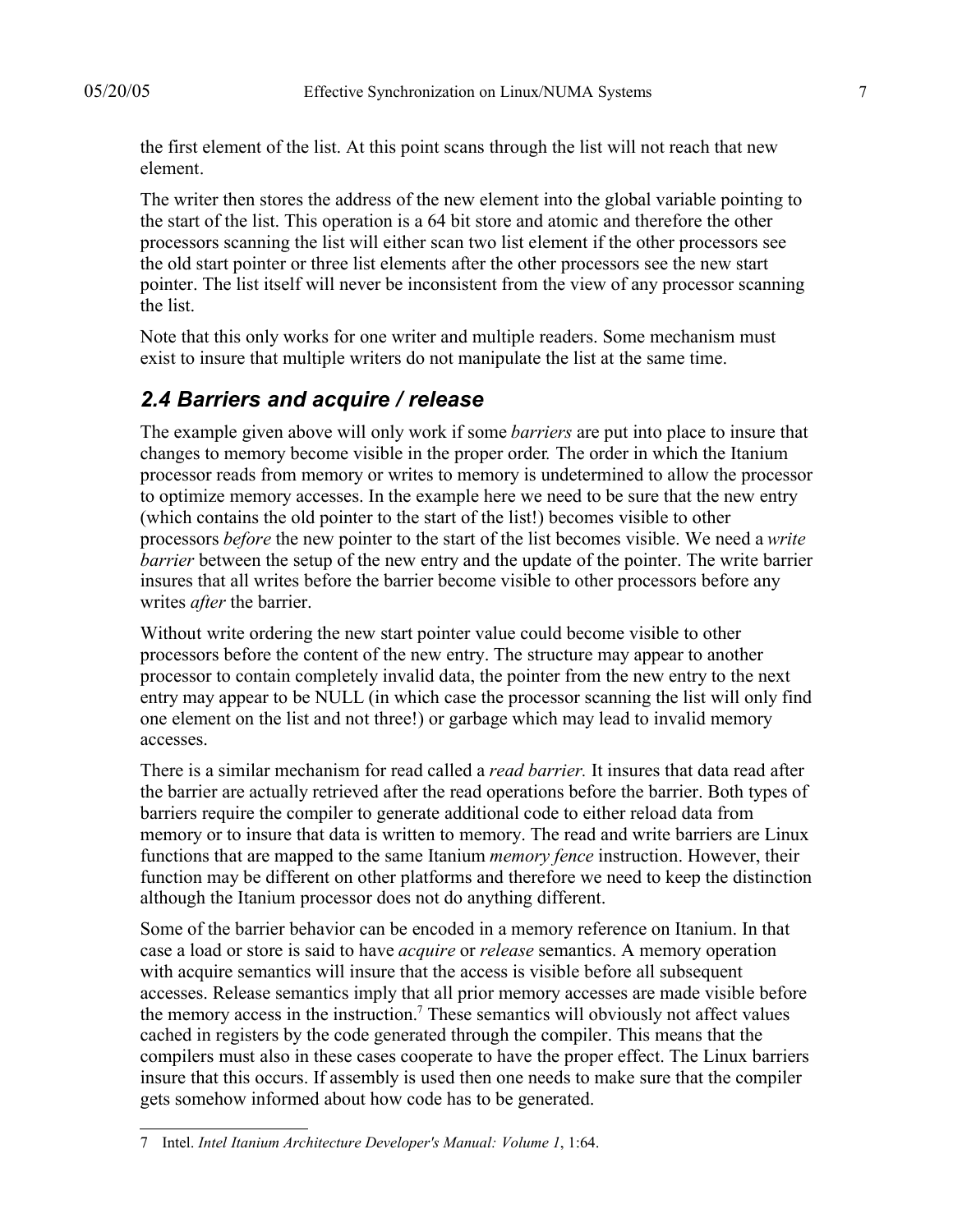the first element of the list. At this point scans through the list will not reach that new element.

The writer then stores the address of the new element into the global variable pointing to the start of the list. This operation is a 64 bit store and atomic and therefore the other processors scanning the list will either scan two list element if the other processors see the old start pointer or three list elements after the other processors see the new start pointer. The list itself will never be inconsistent from the view of any processor scanning the list.

Note that this only works for one writer and multiple readers. Some mechanism must exist to insure that multiple writers do not manipulate the list at the same time.

#### *2.4 Barriers and acquire / release*

The example given above will only work if some *barriers* are put into place to insure that changes to memory become visible in the proper order*.* The order in which the Itanium processor reads from memory or writes to memory is undetermined to allow the processor to optimize memory accesses. In the example here we need to be sure that the new entry (which contains the old pointer to the start of the list!) becomes visible to other processors *before* the new pointer to the start of the list becomes visible. We need a *write barrier* between the setup of the new entry and the update of the pointer. The write barrier insures that all writes before the barrier become visible to other processors before any writes *after* the barrier.

Without write ordering the new start pointer value could become visible to other processors before the content of the new entry. The structure may appear to another processor to contain completely invalid data, the pointer from the new entry to the next entry may appear to be NULL (in which case the processor scanning the list will only find one element on the list and not three!) or garbage which may lead to invalid memory accesses.

There is a similar mechanism for read called a *read barrier.* It insures that data read after the barrier are actually retrieved after the read operations before the barrier. Both types of barriers require the compiler to generate additional code to either reload data from memory or to insure that data is written to memory. The read and write barriers are Linux functions that are mapped to the same Itanium *memory fence* instruction. However, their function may be different on other platforms and therefore we need to keep the distinction although the Itanium processor does not do anything different.

Some of the barrier behavior can be encoded in a memory reference on Itanium. In that case a load or store is said to have *acquire* or *release* semantics. A memory operation with acquire semantics will insure that the access is visible before all subsequent accesses. Release semantics imply that all prior memory accesses are made visible before the memory access in the instruction.<sup>7</sup> These semantics will obviously not affect values cached in registers by the code generated through the compiler. This means that the compilers must also in these cases cooperate to have the proper effect. The Linux barriers insure that this occurs. If assembly is used then one needs to make sure that the compiler gets somehow informed about how code has to be generated.

<sup>7</sup> Intel. *Intel Itanium Architecture Developer's Manual: Volume 1*, 1:64.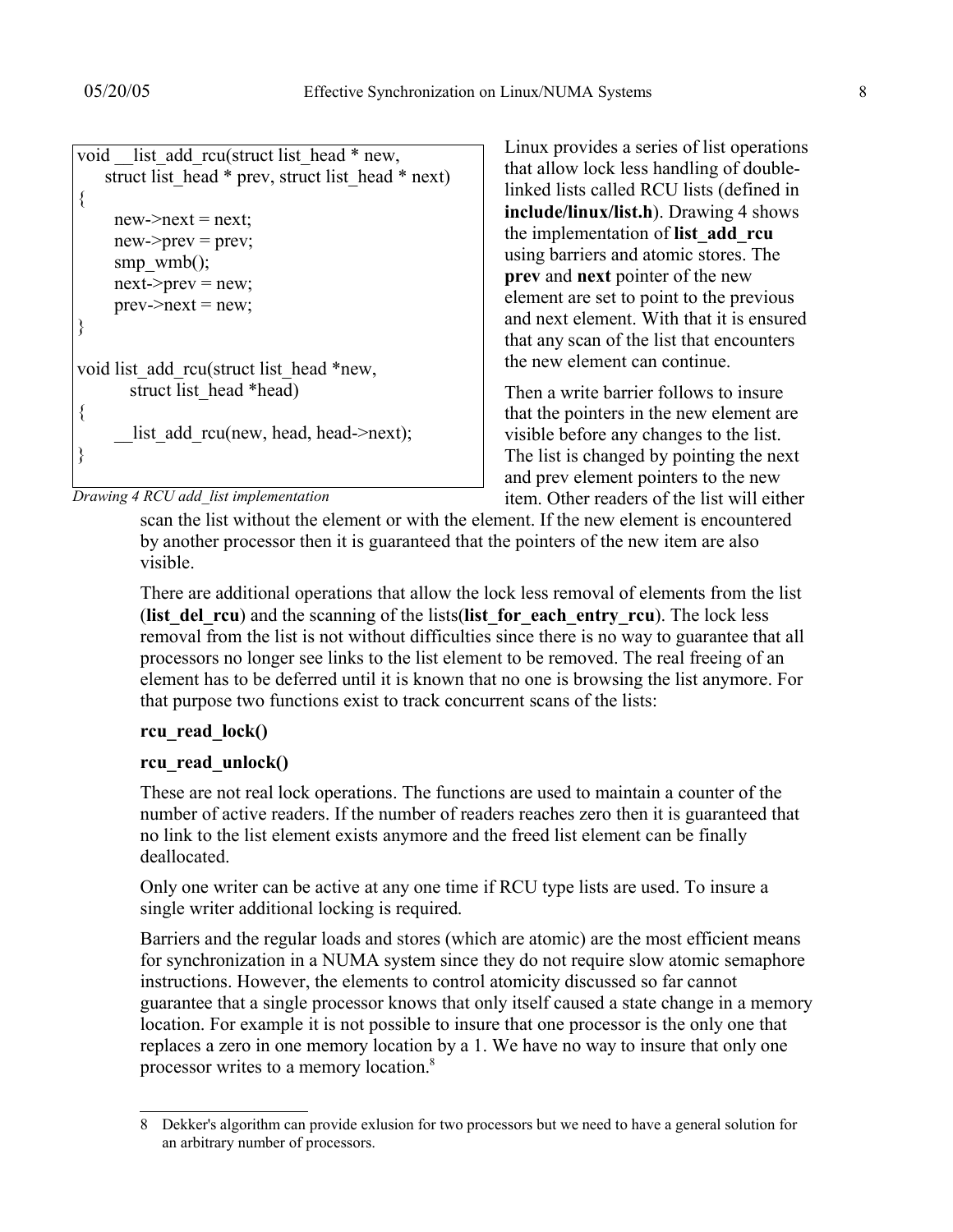```
void list add rcu(struct list head * new,
   struct list head * prev, struct list head * next)
{
    new\geq next = next;new\text{-}prev = prev;smp wmb();
    next\text{-}prev = new;prev\text{-}next = new;}
void list add rcu(struct list head *new,
       struct list head *head)
{
       list add rcu(new, head, head->next);
}
```
*Drawing 4 RCU add\_list implementation*

Linux provides a series of list operations that allow lock less handling of doublelinked lists called RCU lists (defined in **include/linux/list.h**). Drawing 4 shows the implementation of **list\_add\_rcu** using barriers and atomic stores. The **prev** and **next** pointer of the new element are set to point to the previous and next element. With that it is ensured that any scan of the list that encounters the new element can continue.

Then a write barrier follows to insure that the pointers in the new element are visible before any changes to the list. The list is changed by pointing the next and prev element pointers to the new item. Other readers of the list will either

scan the list without the element or with the element. If the new element is encountered by another processor then it is guaranteed that the pointers of the new item are also visible.

There are additional operations that allow the lock less removal of elements from the list (**list** del rcu) and the scanning of the lists(**list** for each entry rcu). The lock less removal from the list is not without difficulties since there is no way to guarantee that all processors no longer see links to the list element to be removed. The real freeing of an element has to be deferred until it is known that no one is browsing the list anymore. For that purpose two functions exist to track concurrent scans of the lists:

#### **rcu\_read\_lock()**

#### **rcu\_read\_unlock()**

These are not real lock operations. The functions are used to maintain a counter of the number of active readers. If the number of readers reaches zero then it is guaranteed that no link to the list element exists anymore and the freed list element can be finally deallocated.

Only one writer can be active at any one time if RCU type lists are used. To insure a single writer additional locking is required.

Barriers and the regular loads and stores (which are atomic) are the most efficient means for synchronization in a NUMA system since they do not require slow atomic semaphore instructions. However, the elements to control atomicity discussed so far cannot guarantee that a single processor knows that only itself caused a state change in a memory location. For example it is not possible to insure that one processor is the only one that replaces a zero in one memory location by a 1. We have no way to insure that only one processor writes to a memory location.<sup>8</sup>

<sup>8</sup> Dekker's algorithm can provide exlusion for two processors but we need to have a general solution for an arbitrary number of processors.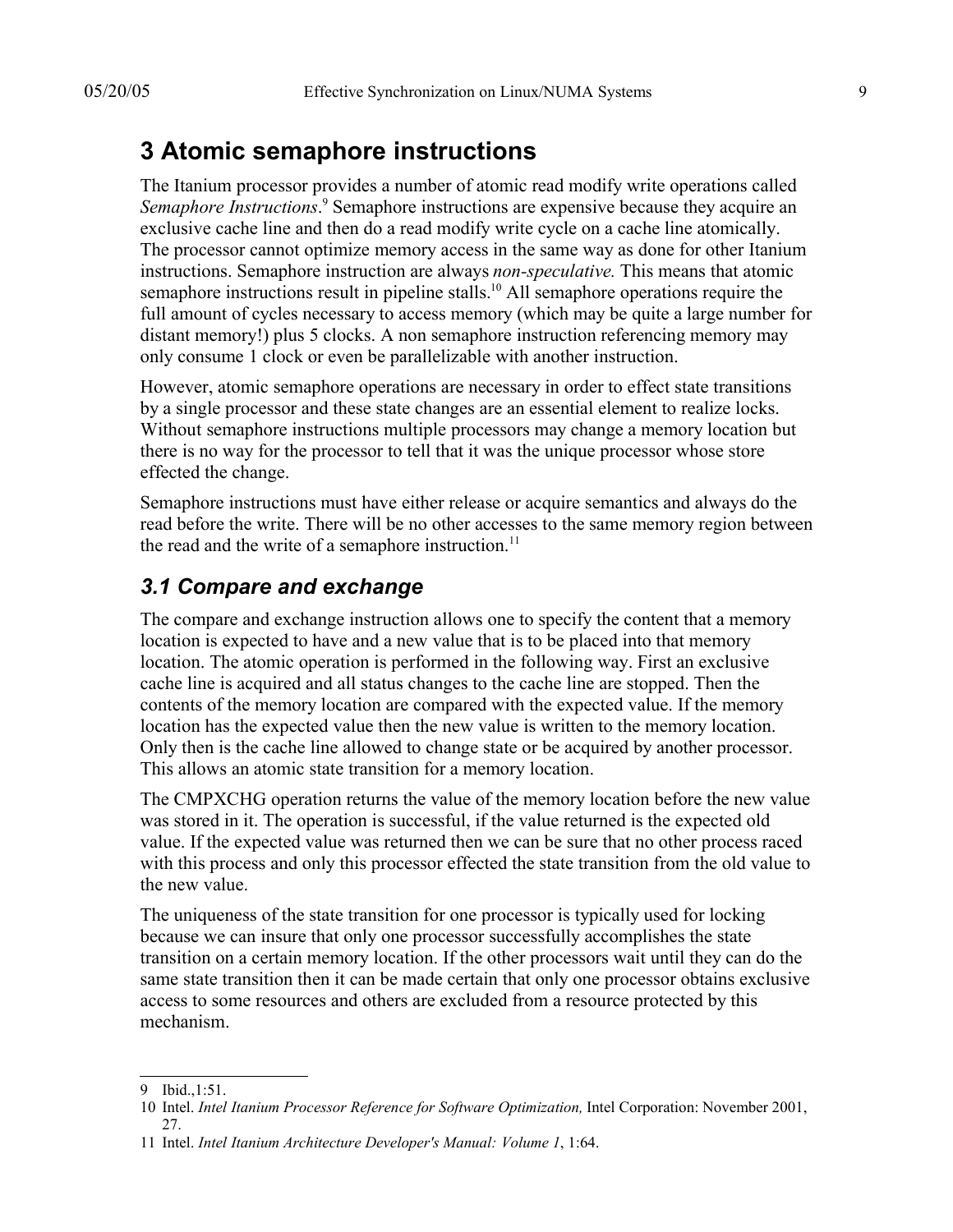# **3 Atomic semaphore instructions**

The Itanium processor provides a number of atomic read modify write operations called Semaphore Instructions.<sup>9</sup> Semaphore instructions are expensive because they acquire an exclusive cache line and then do a read modify write cycle on a cache line atomically. The processor cannot optimize memory access in the same way as done for other Itanium instructions. Semaphore instruction are always *non-speculative.* This means that atomic semaphore instructions result in pipeline stalls.<sup>10</sup> All semaphore operations require the full amount of cycles necessary to access memory (which may be quite a large number for distant memory!) plus 5 clocks. A non semaphore instruction referencing memory may only consume 1 clock or even be parallelizable with another instruction.

However, atomic semaphore operations are necessary in order to effect state transitions by a single processor and these state changes are an essential element to realize locks. Without semaphore instructions multiple processors may change a memory location but there is no way for the processor to tell that it was the unique processor whose store effected the change.

Semaphore instructions must have either release or acquire semantics and always do the read before the write. There will be no other accesses to the same memory region between the read and the write of a semaphore instruction.<sup>11</sup>

#### *3.1 Compare and exchange*

The compare and exchange instruction allows one to specify the content that a memory location is expected to have and a new value that is to be placed into that memory location. The atomic operation is performed in the following way. First an exclusive cache line is acquired and all status changes to the cache line are stopped. Then the contents of the memory location are compared with the expected value. If the memory location has the expected value then the new value is written to the memory location. Only then is the cache line allowed to change state or be acquired by another processor. This allows an atomic state transition for a memory location.

The CMPXCHG operation returns the value of the memory location before the new value was stored in it. The operation is successful, if the value returned is the expected old value. If the expected value was returned then we can be sure that no other process raced with this process and only this processor effected the state transition from the old value to the new value.

The uniqueness of the state transition for one processor is typically used for locking because we can insure that only one processor successfully accomplishes the state transition on a certain memory location. If the other processors wait until they can do the same state transition then it can be made certain that only one processor obtains exclusive access to some resources and others are excluded from a resource protected by this mechanism.

<sup>9</sup> Ibid.,1:51.

<sup>10</sup> Intel. *Intel Itanium Processor Reference for Software Optimization,* Intel Corporation: November 2001, 27.

<sup>11</sup> Intel. *Intel Itanium Architecture Developer's Manual: Volume 1*, 1:64.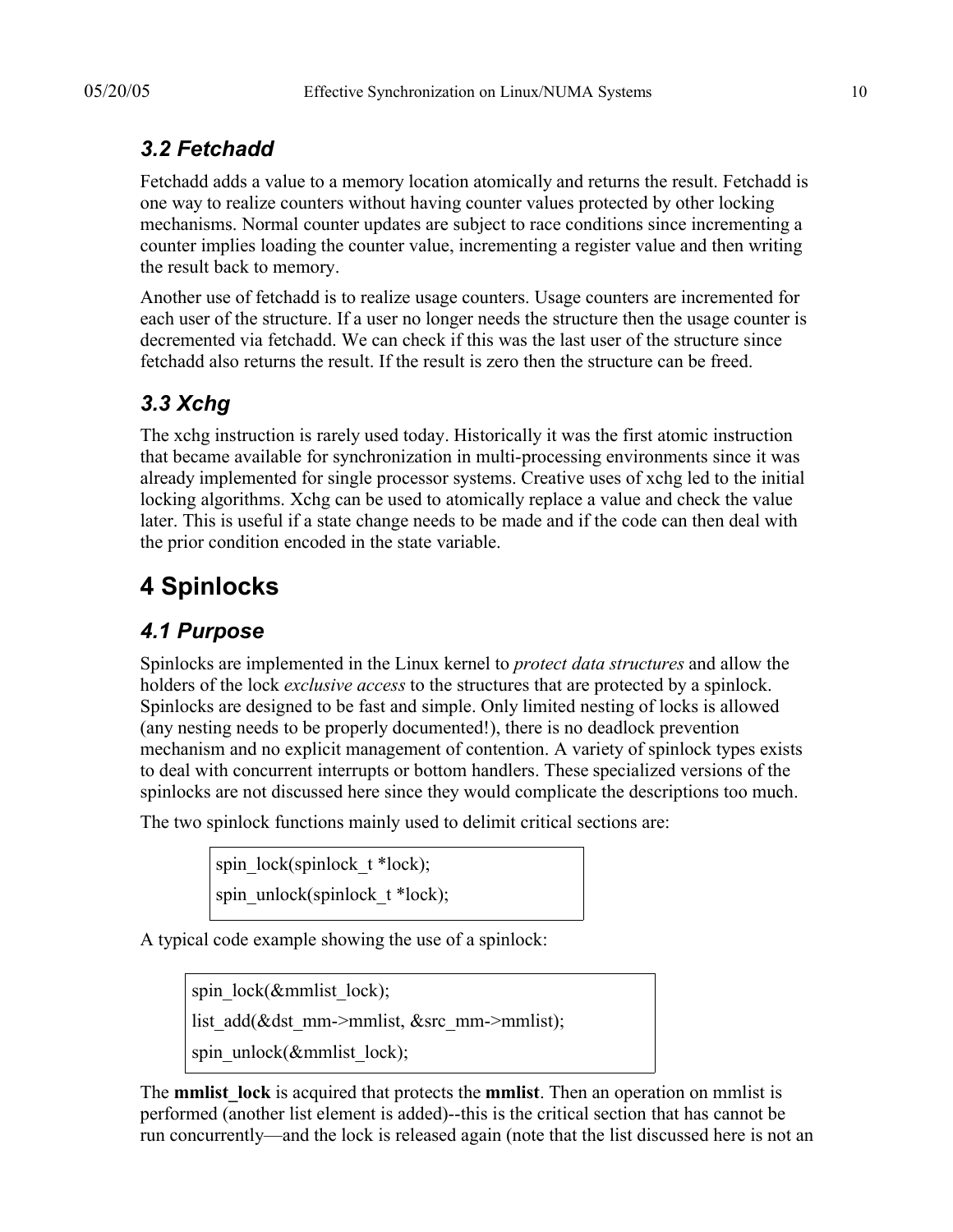### *3.2 Fetchadd*

Fetchadd adds a value to a memory location atomically and returns the result. Fetchadd is one way to realize counters without having counter values protected by other locking mechanisms. Normal counter updates are subject to race conditions since incrementing a counter implies loading the counter value, incrementing a register value and then writing the result back to memory.

Another use of fetchadd is to realize usage counters. Usage counters are incremented for each user of the structure. If a user no longer needs the structure then the usage counter is decremented via fetchadd. We can check if this was the last user of the structure since fetchadd also returns the result. If the result is zero then the structure can be freed.

# *3.3 Xchg*

The xchg instruction is rarely used today. Historically it was the first atomic instruction that became available for synchronization in multi-processing environments since it was already implemented for single processor systems. Creative uses of xchg led to the initial locking algorithms. Xchg can be used to atomically replace a value and check the value later. This is useful if a state change needs to be made and if the code can then deal with the prior condition encoded in the state variable.

# **4 Spinlocks**

# *4.1 Purpose*

Spinlocks are implemented in the Linux kernel to *protect data structures* and allow the holders of the lock *exclusive access* to the structures that are protected by a spinlock. Spinlocks are designed to be fast and simple. Only limited nesting of locks is allowed (any nesting needs to be properly documented!), there is no deadlock prevention mechanism and no explicit management of contention. A variety of spinlock types exists to deal with concurrent interrupts or bottom handlers. These specialized versions of the spinlocks are not discussed here since they would complicate the descriptions too much.

The two spinlock functions mainly used to delimit critical sections are:

```
spin_lock(spinlock_t *lock);
spin_unlock(spinlock_t *lock);
```
A typical code example showing the use of a spinlock:

spin\_lock( $\&$ mmlist\_lock);

list add(&dst mm->mmlist, &src mm->mmlist);

spin\_unlock(&mmlist\_lock);

The **mmlist** lock is acquired that protects the **mmlist**. Then an operation on mmlist is performed (another list element is added)--this is the critical section that has cannot be run concurrently—and the lock is released again (note that the list discussed here is not an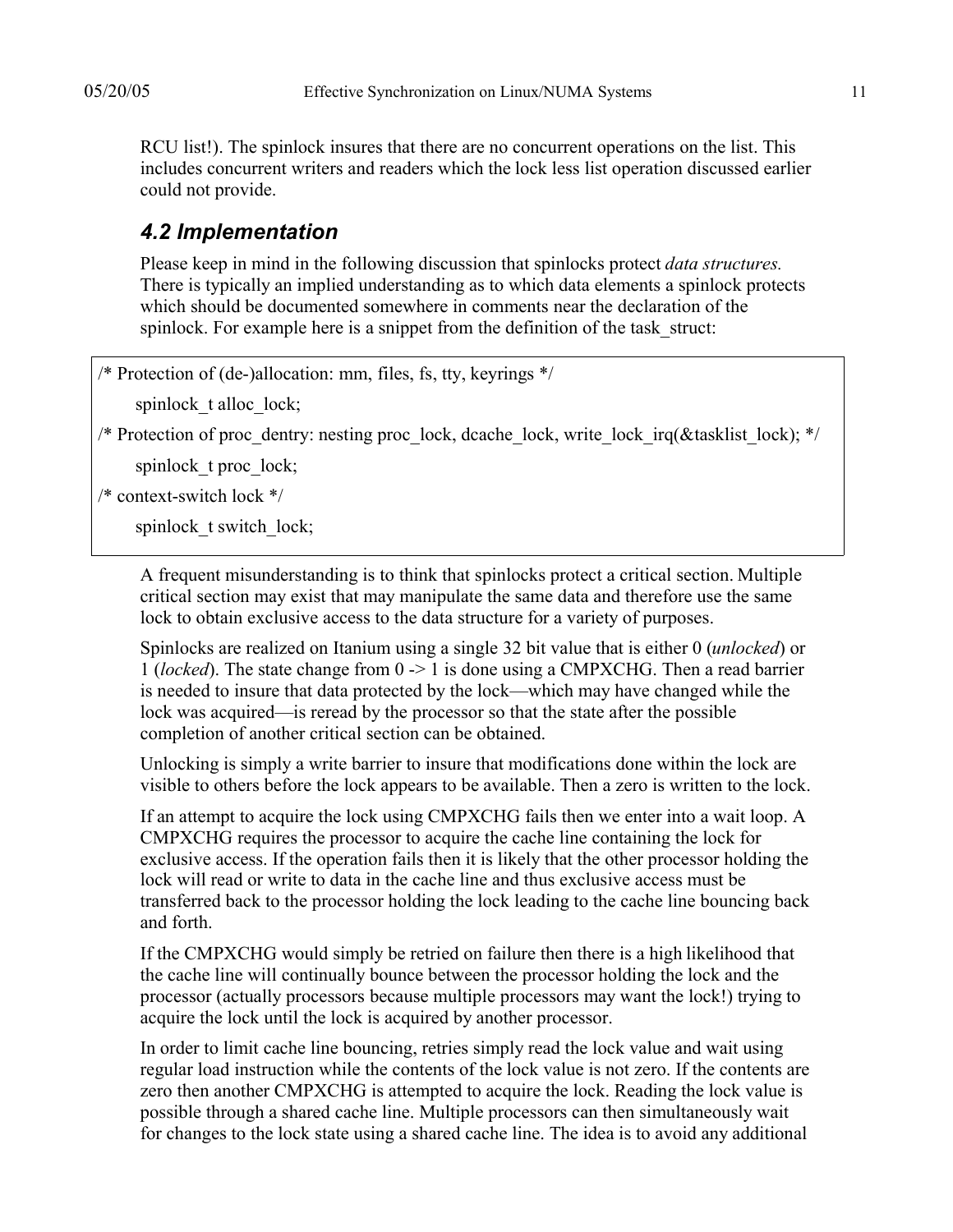RCU list!). The spinlock insures that there are no concurrent operations on the list. This includes concurrent writers and readers which the lock less list operation discussed earlier could not provide.

#### *4.2 Implementation*

Please keep in mind in the following discussion that spinlocks protect *data structures.* There is typically an implied understanding as to which data elements a spinlock protects which should be documented somewhere in comments near the declaration of the spinlock. For example here is a snippet from the definition of the task struct:

```
\frac{1}{2} Protection of (de-)allocation: mm, files, fs, tty, keyrings \frac{*}{s}
```
spinlock t alloc lock;

/\* Protection of proc\_dentry: nesting proc\_lock, dcache\_lock, write\_lock\_irq(&tasklist\_lock); \*/

spinlock t proc\_lock;

/\* context-switch lock \*/

spinlock t switch lock;

A frequent misunderstanding is to think that spinlocks protect a critical section. Multiple critical section may exist that may manipulate the same data and therefore use the same lock to obtain exclusive access to the data structure for a variety of purposes.

Spinlocks are realized on Itanium using a single 32 bit value that is either 0 (*unlocked*) or 1 (*locked*). The state change from 0 -> 1 is done using a CMPXCHG. Then a read barrier is needed to insure that data protected by the lock—which may have changed while the lock was acquired—is reread by the processor so that the state after the possible completion of another critical section can be obtained.

Unlocking is simply a write barrier to insure that modifications done within the lock are visible to others before the lock appears to be available. Then a zero is written to the lock.

If an attempt to acquire the lock using CMPXCHG fails then we enter into a wait loop. A CMPXCHG requires the processor to acquire the cache line containing the lock for exclusive access. If the operation fails then it is likely that the other processor holding the lock will read or write to data in the cache line and thus exclusive access must be transferred back to the processor holding the lock leading to the cache line bouncing back and forth.

If the CMPXCHG would simply be retried on failure then there is a high likelihood that the cache line will continually bounce between the processor holding the lock and the processor (actually processors because multiple processors may want the lock!) trying to acquire the lock until the lock is acquired by another processor.

In order to limit cache line bouncing, retries simply read the lock value and wait using regular load instruction while the contents of the lock value is not zero. If the contents are zero then another CMPXCHG is attempted to acquire the lock. Reading the lock value is possible through a shared cache line. Multiple processors can then simultaneously wait for changes to the lock state using a shared cache line. The idea is to avoid any additional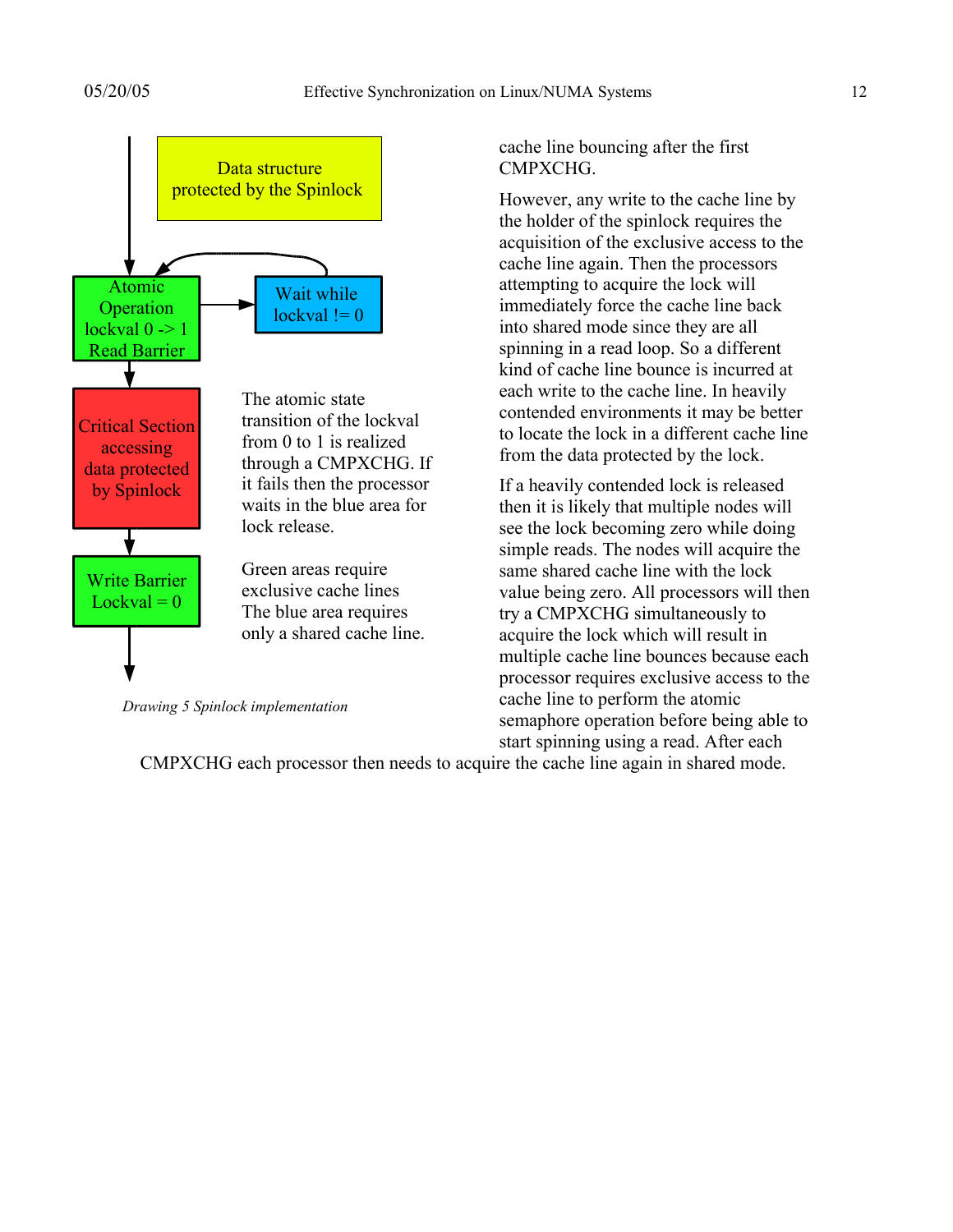

*Drawing 5 Spinlock implementation*

cache line bouncing after the first **CMPXCHG** 

However, any write to the cache line by the holder of the spinlock requires the acquisition of the exclusive access to the cache line again. Then the processors attempting to acquire the lock will immediately force the cache line back into shared mode since they are all spinning in a read loop. So a different kind of cache line bounce is incurred at each write to the cache line. In heavily contended environments it may be better to locate the lock in a different cache line from the data protected by the lock.

If a heavily contended lock is released then it is likely that multiple nodes will see the lock becoming zero while doing simple reads. The nodes will acquire the same shared cache line with the lock value being zero. All processors will then try a CMPXCHG simultaneously to acquire the lock which will result in multiple cache line bounces because each processor requires exclusive access to the cache line to perform the atomic semaphore operation before being able to start spinning using a read. After each

CMPXCHG each processor then needs to acquire the cache line again in shared mode.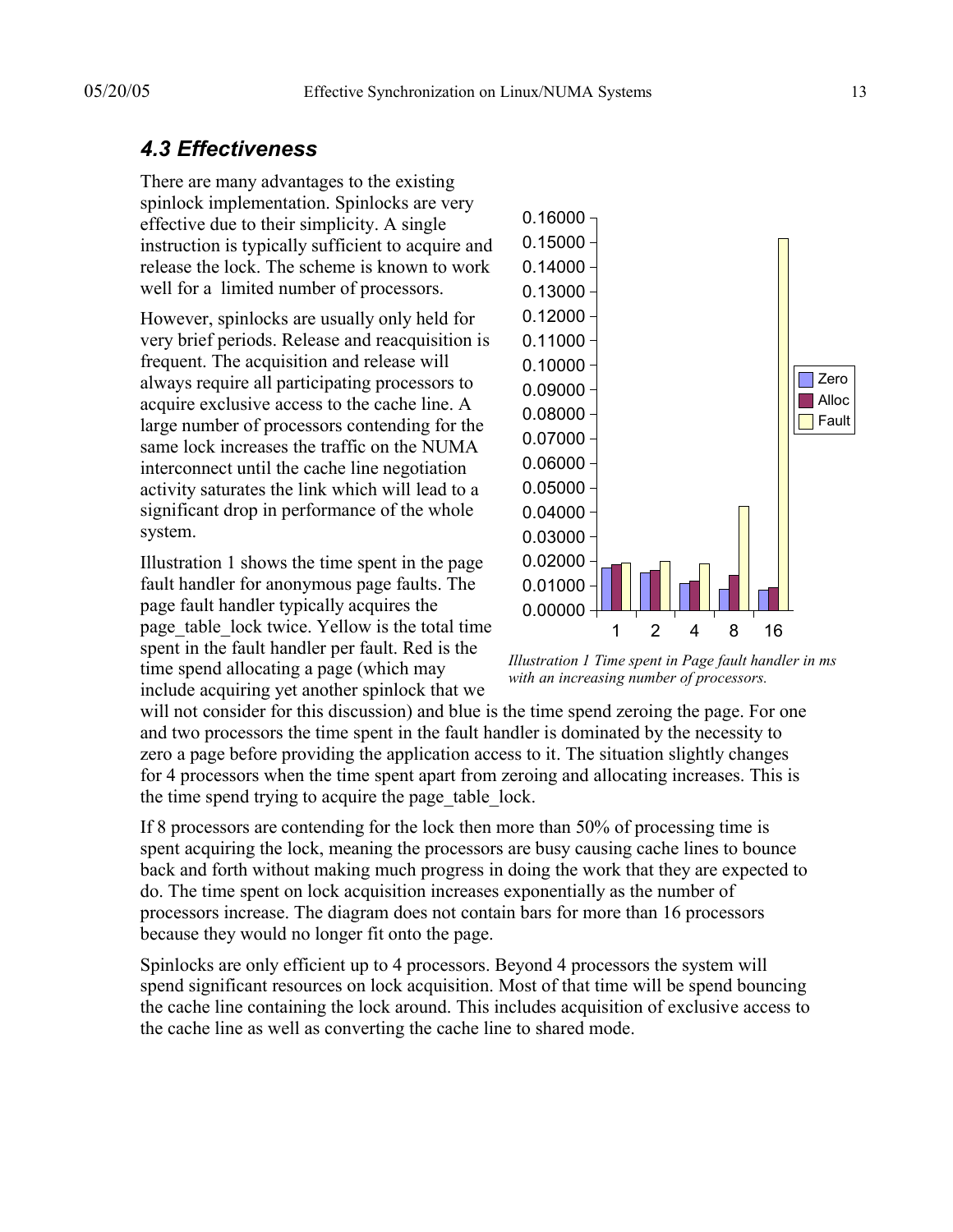#### *4.3 Effectiveness*

There are many advantages to the existing spinlock implementation. Spinlocks are very effective due to their simplicity. A single instruction is typically sufficient to acquire and release the lock. The scheme is known to work well for a limited number of processors.

However, spinlocks are usually only held for very brief periods. Release and reacquisition is frequent. The acquisition and release will always require all participating processors to acquire exclusive access to the cache line. A large number of processors contending for the same lock increases the traffic on the NUMA interconnect until the cache line negotiation activity saturates the link which will lead to a significant drop in performance of the whole system.

Illustration 1 shows the time spent in the page fault handler for anonymous page faults. The page fault handler typically acquires the page table lock twice. Yellow is the total time spent in the fault handler per fault. Red is the time spend allocating a page (which may include acquiring yet another spinlock that we



*Illustration 1 Time spent in Page fault handler in ms with an increasing number of processors.*

will not consider for this discussion) and blue is the time spend zeroing the page. For one and two processors the time spent in the fault handler is dominated by the necessity to zero a page before providing the application access to it. The situation slightly changes for 4 processors when the time spent apart from zeroing and allocating increases. This is the time spend trying to acquire the page table lock.

If 8 processors are contending for the lock then more than 50% of processing time is spent acquiring the lock, meaning the processors are busy causing cache lines to bounce back and forth without making much progress in doing the work that they are expected to do. The time spent on lock acquisition increases exponentially as the number of processors increase. The diagram does not contain bars for more than 16 processors because they would no longer fit onto the page.

Spinlocks are only efficient up to 4 processors. Beyond 4 processors the system will spend significant resources on lock acquisition. Most of that time will be spend bouncing the cache line containing the lock around. This includes acquisition of exclusive access to the cache line as well as converting the cache line to shared mode.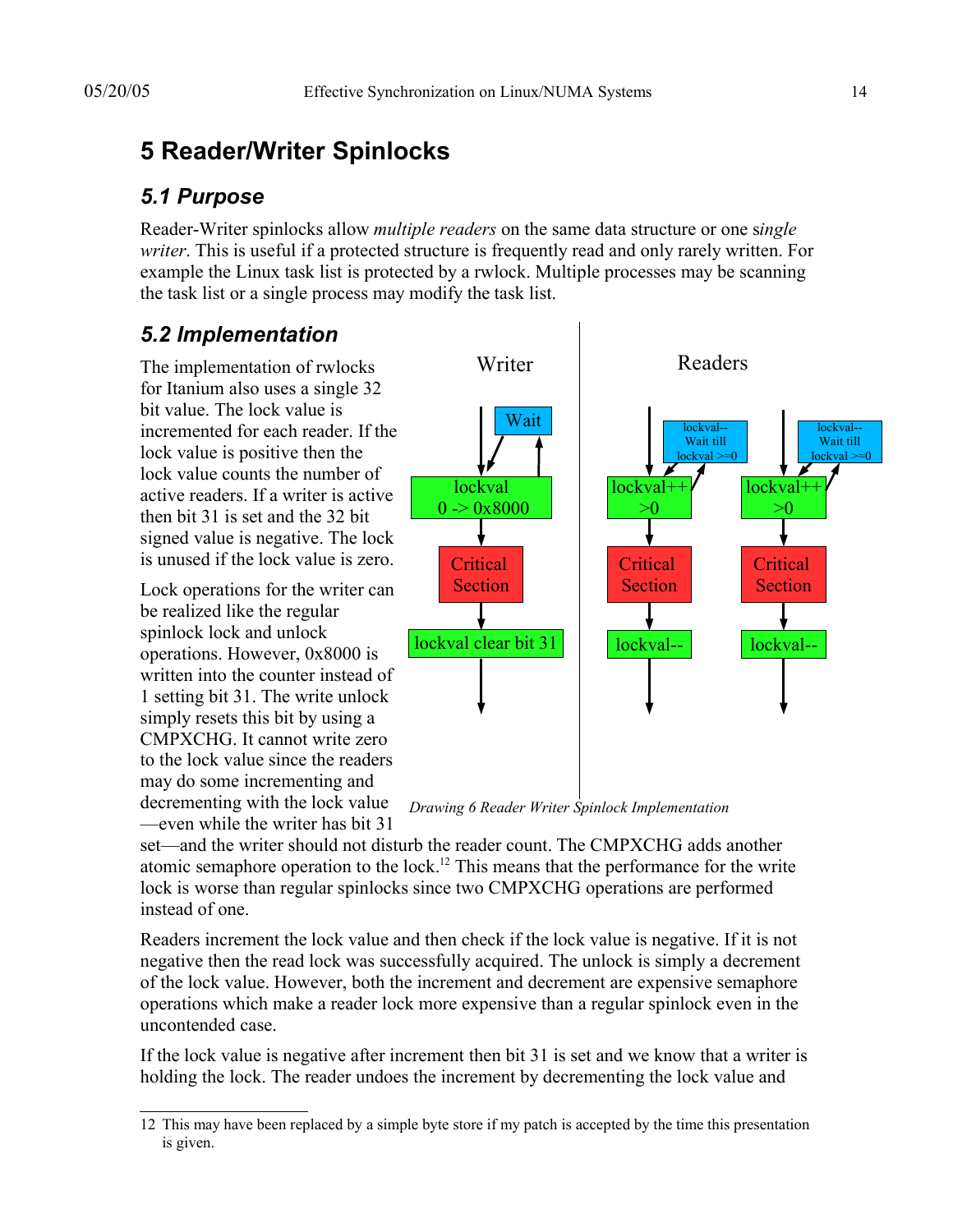# **5 Reader/Writer Spinlocks**

#### *5.1 Purpose*

Reader-Writer spinlocks allow *multiple readers* on the same data structure or one s*ingle writer*. This is useful if a protected structure is frequently read and only rarely written. For example the Linux task list is protected by a rwlock. Multiple processes may be scanning the task list or a single process may modify the task list.

#### *5.2 Implementation*

The implementation of rwlocks for Itanium also uses a single 32 bit value. The lock value is incremented for each reader. If the lock value is positive then the lock value counts the number of active readers. If a writer is active then bit 31 is set and the 32 bit signed value is negative. The lock is unused if the lock value is zero.

Lock operations for the writer can be realized like the regular spinlock lock and unlock operations. However, 0x8000 is written into the counter instead of 1 setting bit 31. The write unlock simply resets this bit by using a CMPXCHG. It cannot write zero to the lock value since the readers may do some incrementing and decrementing with the lock value —even while the writer has bit 31



*Drawing 6 Reader Writer Spinlock Implementation*

set—and the writer should not disturb the reader count. The CMPXCHG adds another atomic semaphore operation to the lock.<sup>12</sup> This means that the performance for the write lock is worse than regular spinlocks since two CMPXCHG operations are performed instead of one.

Readers increment the lock value and then check if the lock value is negative. If it is not negative then the read lock was successfully acquired. The unlock is simply a decrement of the lock value. However, both the increment and decrement are expensive semaphore operations which make a reader lock more expensive than a regular spinlock even in the uncontended case.

If the lock value is negative after increment then bit 31 is set and we know that a writer is holding the lock. The reader undoes the increment by decrementing the lock value and

<sup>12</sup> This may have been replaced by a simple byte store if my patch is accepted by the time this presentation is given.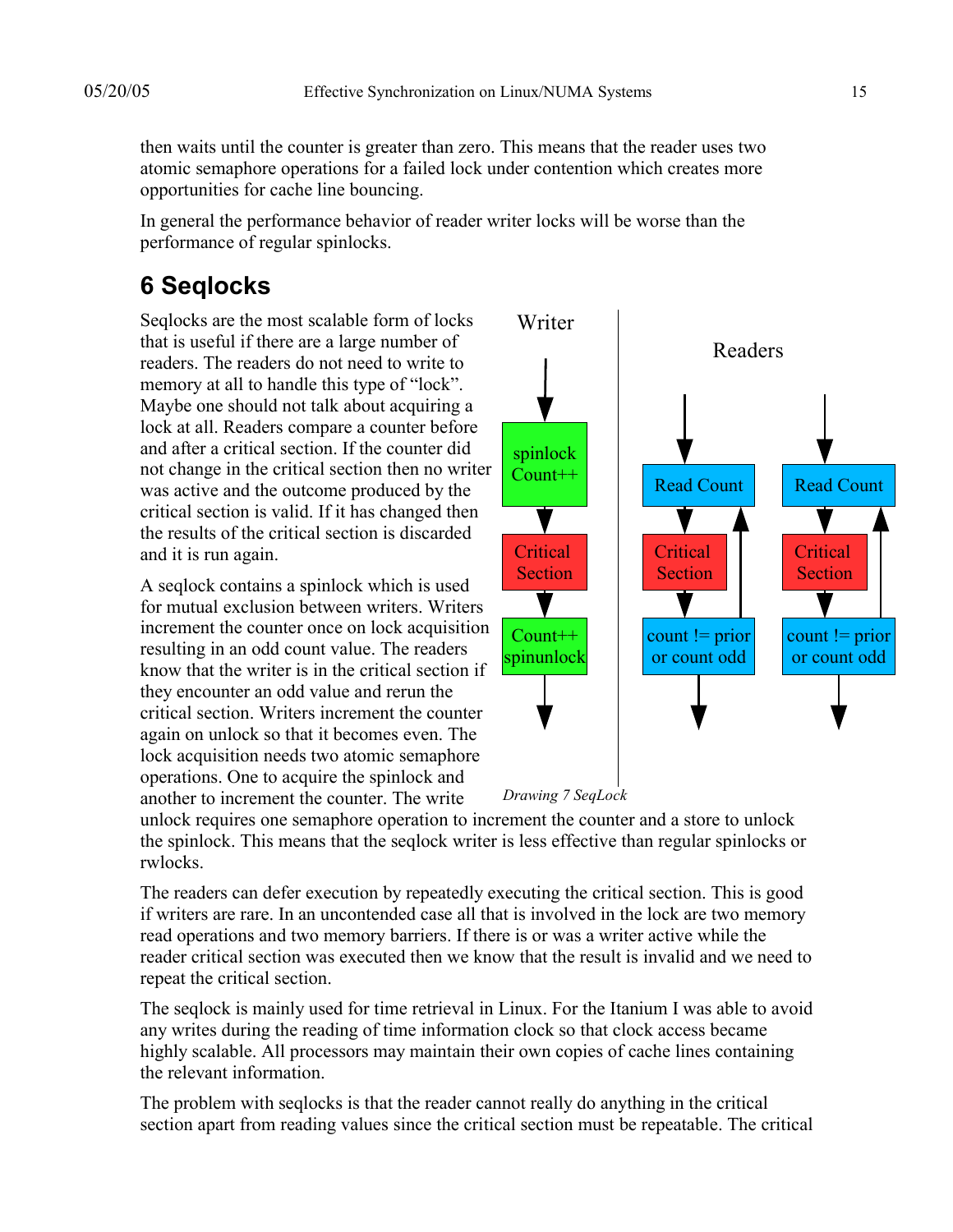then waits until the counter is greater than zero. This means that the reader uses two atomic semaphore operations for a failed lock under contention which creates more opportunities for cache line bouncing.

In general the performance behavior of reader writer locks will be worse than the performance of regular spinlocks.

# **6 Seqlocks**

Seqlocks are the most scalable form of locks that is useful if there are a large number of readers. The readers do not need to write to memory at all to handle this type of "lock". Maybe one should not talk about acquiring a lock at all. Readers compare a counter before and after a critical section. If the counter did not change in the critical section then no writer was active and the outcome produced by the critical section is valid. If it has changed then the results of the critical section is discarded and it is run again.

A seqlock contains a spinlock which is used for mutual exclusion between writers. Writers increment the counter once on lock acquisition resulting in an odd count value. The readers know that the writer is in the critical section if they encounter an odd value and rerun the critical section. Writers increment the counter again on unlock so that it becomes even. The lock acquisition needs two atomic semaphore operations. One to acquire the spinlock and another to increment the counter. The write



unlock requires one semaphore operation to increment the counter and a store to unlock the spinlock. This means that the seqlock writer is less effective than regular spinlocks or rwlocks.

The readers can defer execution by repeatedly executing the critical section. This is good if writers are rare. In an uncontended case all that is involved in the lock are two memory read operations and two memory barriers. If there is or was a writer active while the reader critical section was executed then we know that the result is invalid and we need to repeat the critical section.

The seqlock is mainly used for time retrieval in Linux. For the Itanium I was able to avoid any writes during the reading of time information clock so that clock access became highly scalable. All processors may maintain their own copies of cache lines containing the relevant information.

The problem with seqlocks is that the reader cannot really do anything in the critical section apart from reading values since the critical section must be repeatable. The critical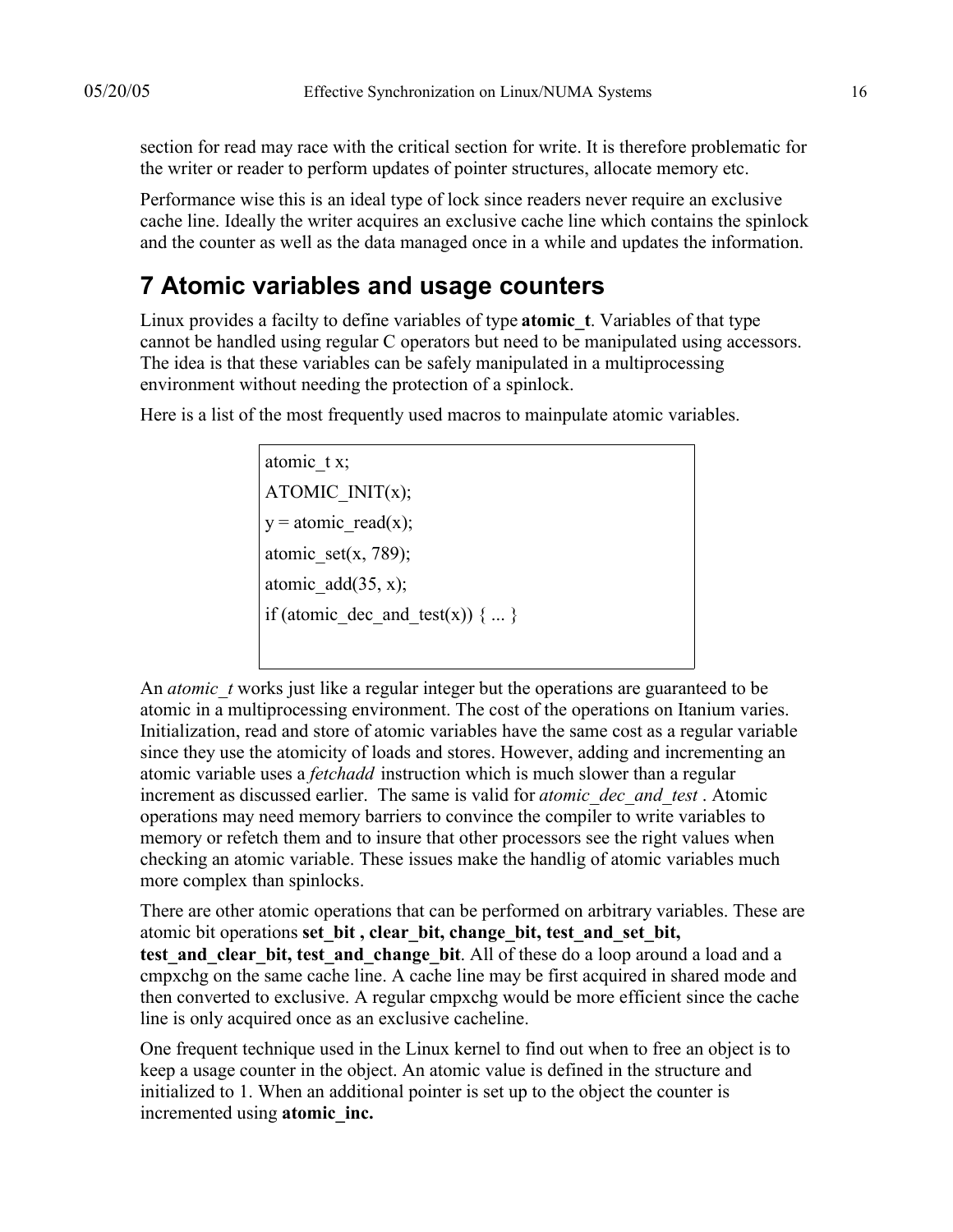section for read may race with the critical section for write. It is therefore problematic for the writer or reader to perform updates of pointer structures, allocate memory etc.

Performance wise this is an ideal type of lock since readers never require an exclusive cache line. Ideally the writer acquires an exclusive cache line which contains the spinlock and the counter as well as the data managed once in a while and updates the information.

#### **7 Atomic variables and usage counters**

Linux provides a facilty to define variables of type **atomic\_t**. Variables of that type cannot be handled using regular C operators but need to be manipulated using accessors. The idea is that these variables can be safely manipulated in a multiprocessing environment without needing the protection of a spinlock.

Here is a list of the most frequently used macros to mainpulate atomic variables.

atomic tx; ATOMIC\_INIT(x);  $y = atomic\, read(x);$ atomic\_set(x, 789); atomic  $add(35, x);$ if (atomic dec and test(x)) { ... }

An *atomic\_t* works just like a regular integer but the operations are guaranteed to be atomic in a multiprocessing environment. The cost of the operations on Itanium varies. Initialization, read and store of atomic variables have the same cost as a regular variable since they use the atomicity of loads and stores. However, adding and incrementing an atomic variable uses a *fetchadd* instruction which is much slower than a regular increment as discussed earlier. The same is valid for *atomic\_dec\_and\_test* . Atomic operations may need memory barriers to convince the compiler to write variables to memory or refetch them and to insure that other processors see the right values when checking an atomic variable. These issues make the handlig of atomic variables much more complex than spinlocks.

There are other atomic operations that can be performed on arbitrary variables. These are atomic bit operations **set\_bit , clear\_bit, change\_bit, test\_and\_set\_bit, test and clear bit, test and change bit**. All of these do a loop around a load and a cmpxchg on the same cache line. A cache line may be first acquired in shared mode and then converted to exclusive. A regular cmpxchg would be more efficient since the cache line is only acquired once as an exclusive cacheline.

One frequent technique used in the Linux kernel to find out when to free an object is to keep a usage counter in the object. An atomic value is defined in the structure and initialized to 1. When an additional pointer is set up to the object the counter is incremented using **atomic\_inc.**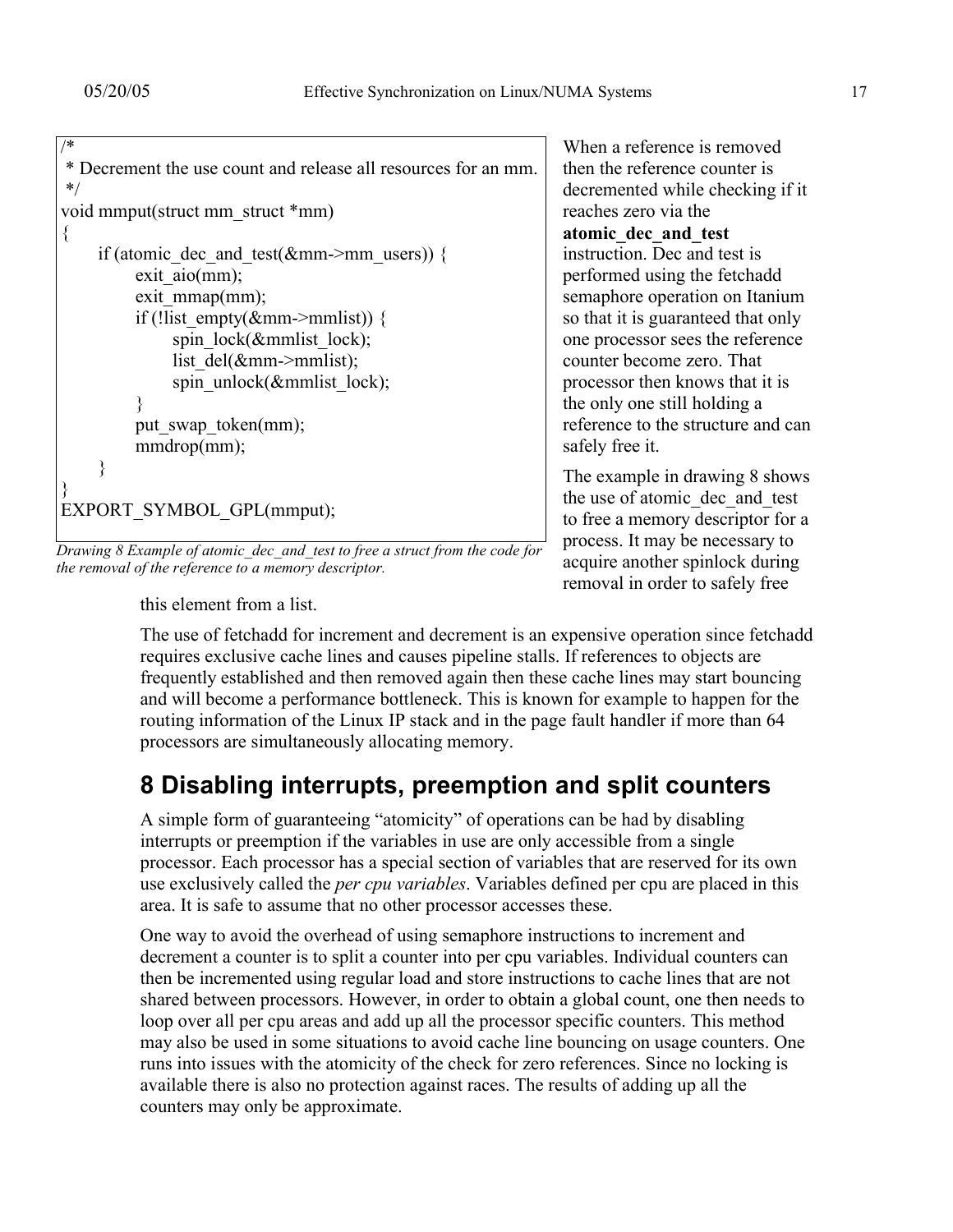```
/*
* Decrement the use count and release all resources for an mm.
*/
void mmput(struct mm_struct *mm)
{
    if (atomic dec and test(&mm\text{-}mm users)) {
         exit_aio(mm);
         exit_mmap(mm);
         if (!list_empty(&mm\rightarrowmmlist)) {
             spin_lock(\&mmlist_lock);
             list \overline{del(&mm->mmlist);
             spin_unlock(&mmlist_lock);
 }
         put swap token(mm);
         mmdrop(mm);
 }
}
EXPORT_SYMBOL_GPL(mmput);
```
*Drawing 8 Example of atomic\_dec\_and\_test to free a struct from the code for the removal of the reference to a memory descriptor.*

When a reference is removed then the reference counter is decremented while checking if it reaches zero via the **atomic\_dec\_and\_test** instruction. Dec and test is performed using the fetchadd semaphore operation on Itanium so that it is guaranteed that only one processor sees the reference counter become zero. That processor then knows that it is the only one still holding a reference to the structure and can safely free it.

The example in drawing 8 shows the use of atomic\_dec\_and\_test to free a memory descriptor for a process. It may be necessary to acquire another spinlock during removal in order to safely free

this element from a list.

The use of fetchadd for increment and decrement is an expensive operation since fetchadd requires exclusive cache lines and causes pipeline stalls. If references to objects are frequently established and then removed again then these cache lines may start bouncing and will become a performance bottleneck. This is known for example to happen for the routing information of the Linux IP stack and in the page fault handler if more than 64 processors are simultaneously allocating memory.

# **8 Disabling interrupts, preemption and split counters**

A simple form of guaranteeing "atomicity" of operations can be had by disabling interrupts or preemption if the variables in use are only accessible from a single processor. Each processor has a special section of variables that are reserved for its own use exclusively called the *per cpu variables*. Variables defined per cpu are placed in this area. It is safe to assume that no other processor accesses these.

One way to avoid the overhead of using semaphore instructions to increment and decrement a counter is to split a counter into per cpu variables. Individual counters can then be incremented using regular load and store instructions to cache lines that are not shared between processors. However, in order to obtain a global count, one then needs to loop over all per cpu areas and add up all the processor specific counters. This method may also be used in some situations to avoid cache line bouncing on usage counters. One runs into issues with the atomicity of the check for zero references. Since no locking is available there is also no protection against races. The results of adding up all the counters may only be approximate.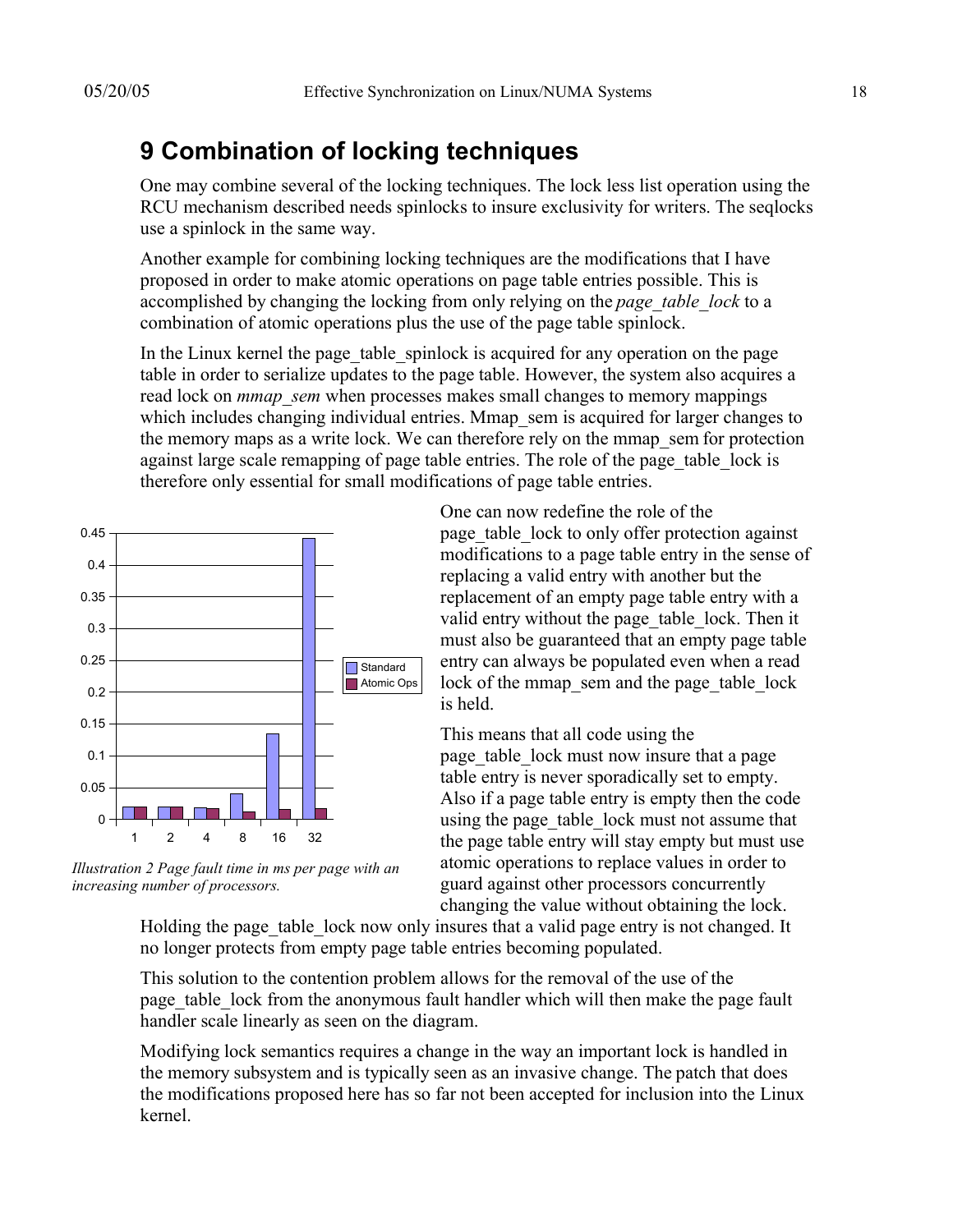# **9 Combination of locking techniques**

One may combine several of the locking techniques. The lock less list operation using the RCU mechanism described needs spinlocks to insure exclusivity for writers. The seqlocks use a spinlock in the same way.

Another example for combining locking techniques are the modifications that I have proposed in order to make atomic operations on page table entries possible. This is accomplished by changing the locking from only relying on the *page\_table\_lock* to a combination of atomic operations plus the use of the page table spinlock.

In the Linux kernel the page table spinlock is acquired for any operation on the page table in order to serialize updates to the page table. However, the system also acquires a read lock on *mmap* sem when processes makes small changes to memory mappings which includes changing individual entries. Mmap sem is acquired for larger changes to the memory maps as a write lock. We can therefore rely on the mmap\_sem for protection against large scale remapping of page table entries. The role of the page table lock is therefore only essential for small modifications of page table entries.



*Illustration 2 Page fault time in ms per page with an increasing number of processors.*

One can now redefine the role of the page table lock to only offer protection against modifications to a page table entry in the sense of replacing a valid entry with another but the replacement of an empty page table entry with a valid entry without the page table lock. Then it must also be guaranteed that an empty page table entry can always be populated even when a read lock of the mmap\_sem and the page\_table\_lock is held.

This means that all code using the page table lock must now insure that a page table entry is never sporadically set to empty. Also if a page table entry is empty then the code using the page table lock must not assume that the page table entry will stay empty but must use atomic operations to replace values in order to guard against other processors concurrently changing the value without obtaining the lock.

Holding the page table lock now only insures that a valid page entry is not changed. It no longer protects from empty page table entries becoming populated.

This solution to the contention problem allows for the removal of the use of the page table lock from the anonymous fault handler which will then make the page fault handler scale linearly as seen on the diagram.

Modifying lock semantics requires a change in the way an important lock is handled in the memory subsystem and is typically seen as an invasive change. The patch that does the modifications proposed here has so far not been accepted for inclusion into the Linux kernel.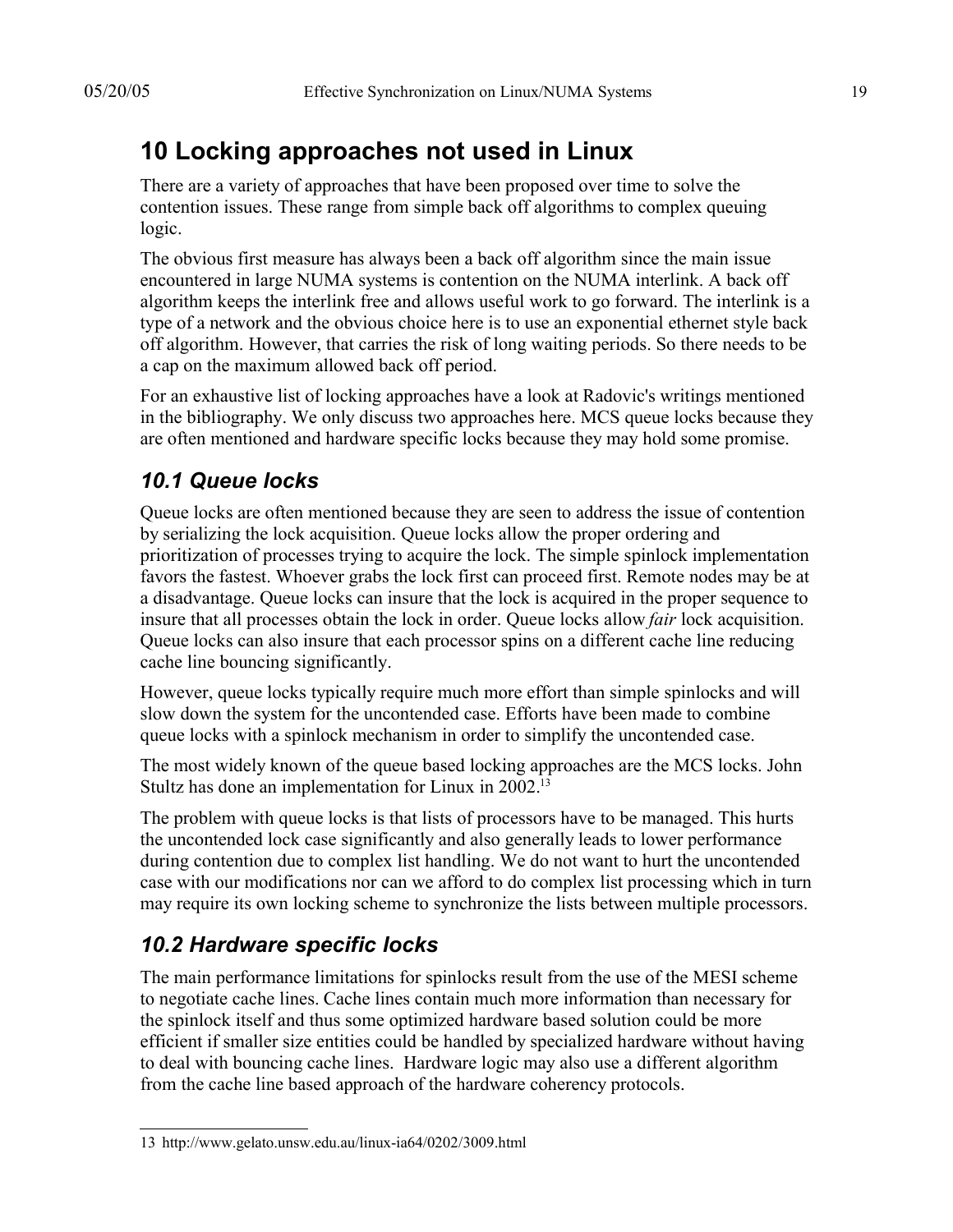# **10 Locking approaches not used in Linux**

There are a variety of approaches that have been proposed over time to solve the contention issues. These range from simple back off algorithms to complex queuing logic.

The obvious first measure has always been a back off algorithm since the main issue encountered in large NUMA systems is contention on the NUMA interlink. A back off algorithm keeps the interlink free and allows useful work to go forward. The interlink is a type of a network and the obvious choice here is to use an exponential ethernet style back off algorithm. However, that carries the risk of long waiting periods. So there needs to be a cap on the maximum allowed back off period.

For an exhaustive list of locking approaches have a look at Radovic's writings mentioned in the bibliography. We only discuss two approaches here. MCS queue locks because they are often mentioned and hardware specific locks because they may hold some promise.

#### *10.1 Queue locks*

Queue locks are often mentioned because they are seen to address the issue of contention by serializing the lock acquisition. Queue locks allow the proper ordering and prioritization of processes trying to acquire the lock. The simple spinlock implementation favors the fastest. Whoever grabs the lock first can proceed first. Remote nodes may be at a disadvantage. Queue locks can insure that the lock is acquired in the proper sequence to insure that all processes obtain the lock in order. Queue locks allow *fair* lock acquisition. Queue locks can also insure that each processor spins on a different cache line reducing cache line bouncing significantly.

However, queue locks typically require much more effort than simple spinlocks and will slow down the system for the uncontended case. Efforts have been made to combine queue locks with a spinlock mechanism in order to simplify the uncontended case.

The most widely known of the queue based locking approaches are the MCS locks. John Stultz has done an implementation for Linux in 2002.<sup>13</sup>

The problem with queue locks is that lists of processors have to be managed. This hurts the uncontended lock case significantly and also generally leads to lower performance during contention due to complex list handling. We do not want to hurt the uncontended case with our modifications nor can we afford to do complex list processing which in turn may require its own locking scheme to synchronize the lists between multiple processors.

# *10.2 Hardware specific locks*

The main performance limitations for spinlocks result from the use of the MESI scheme to negotiate cache lines. Cache lines contain much more information than necessary for the spinlock itself and thus some optimized hardware based solution could be more efficient if smaller size entities could be handled by specialized hardware without having to deal with bouncing cache lines. Hardware logic may also use a different algorithm from the cache line based approach of the hardware coherency protocols.

<sup>13</sup> http://www.gelato.unsw.edu.au/linux-ia64/0202/3009.html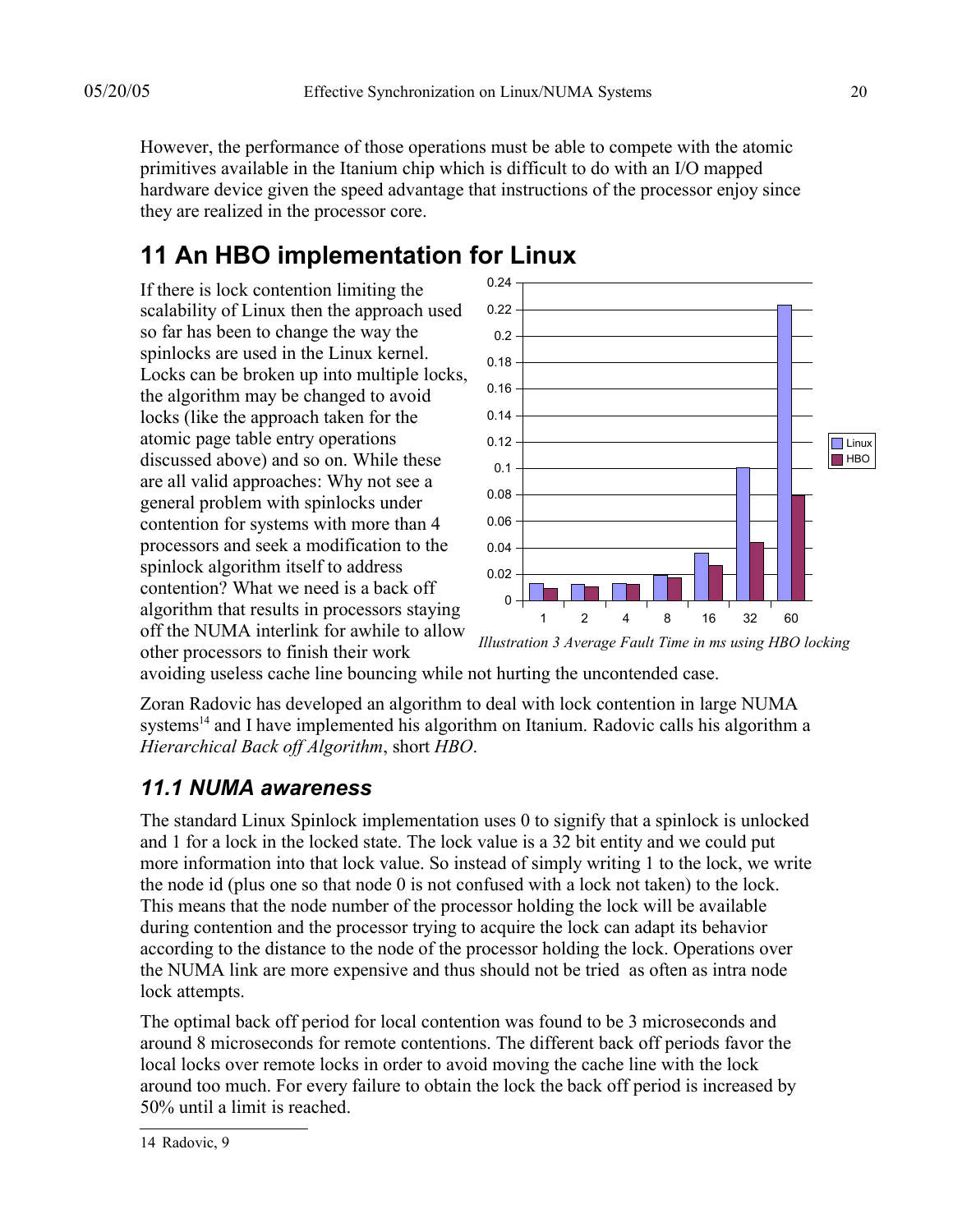However, the performance of those operations must be able to compete with the atomic primitives available in the Itanium chip which is difficult to do with an I/O mapped hardware device given the speed advantage that instructions of the processor enjoy since they are realized in the processor core.

# **11 An HBO implementation for Linux**

If there is lock contention limiting the scalability of Linux then the approach used so far has been to change the way the spinlocks are used in the Linux kernel. Locks can be broken up into multiple locks, the algorithm may be changed to avoid locks (like the approach taken for the atomic page table entry operations discussed above) and so on. While these are all valid approaches: Why not see a general problem with spinlocks under contention for systems with more than 4 processors and seek a modification to the spinlock algorithm itself to address contention? What we need is a back off algorithm that results in processors staying off the NUMA interlink for awhile to allow other processors to finish their work



*Illustration 3 Average Fault Time in ms using HBO locking*

avoiding useless cache line bouncing while not hurting the uncontended case.

Zoran Radovic has developed an algorithm to deal with lock contention in large NUMA systems<sup>14</sup> and I have implemented his algorithm on Itanium. Radovic calls his algorithm a *Hierarchical Back off Algorithm*, short *HBO*.

#### *11.1 NUMA awareness*

The standard Linux Spinlock implementation uses 0 to signify that a spinlock is unlocked and 1 for a lock in the locked state. The lock value is a 32 bit entity and we could put more information into that lock value. So instead of simply writing 1 to the lock, we write the node id (plus one so that node 0 is not confused with a lock not taken) to the lock. This means that the node number of the processor holding the lock will be available during contention and the processor trying to acquire the lock can adapt its behavior according to the distance to the node of the processor holding the lock. Operations over the NUMA link are more expensive and thus should not be tried as often as intra node lock attempts.

The optimal back off period for local contention was found to be 3 microseconds and around 8 microseconds for remote contentions. The different back off periods favor the local locks over remote locks in order to avoid moving the cache line with the lock around too much. For every failure to obtain the lock the back off period is increased by 50% until a limit is reached.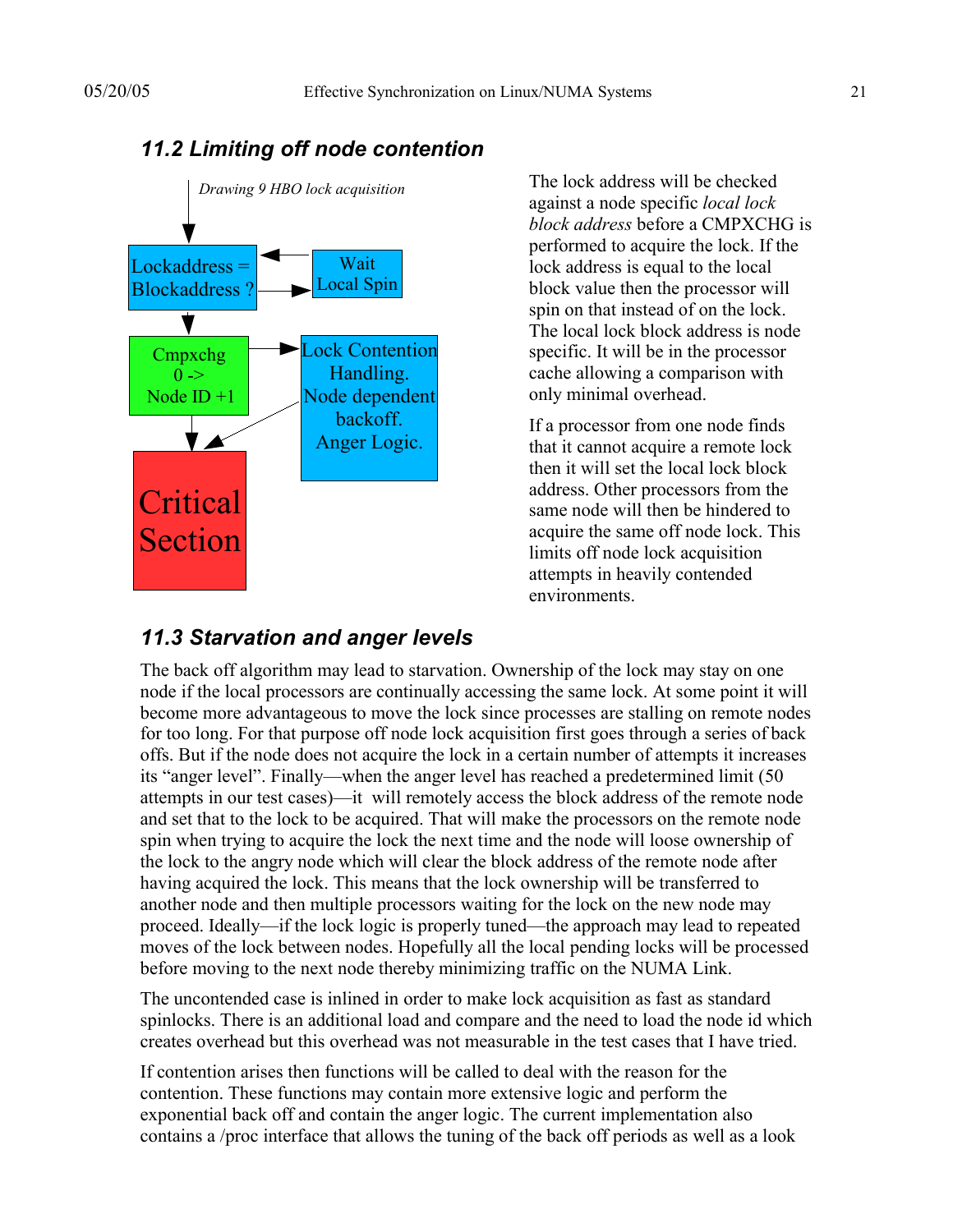

#### *11.2 Limiting off node contention*

The lock address will be checked against a node specific *local lock block address* before a CMPXCHG is performed to acquire the lock. If the lock address is equal to the local block value then the processor will spin on that instead of on the lock. The local lock block address is node specific. It will be in the processor cache allowing a comparison with only minimal overhead.

If a processor from one node finds that it cannot acquire a remote lock then it will set the local lock block address. Other processors from the same node will then be hindered to acquire the same off node lock. This limits off node lock acquisition attempts in heavily contended environments.

#### *11.3 Starvation and anger levels*

The back off algorithm may lead to starvation. Ownership of the lock may stay on one node if the local processors are continually accessing the same lock. At some point it will become more advantageous to move the lock since processes are stalling on remote nodes for too long. For that purpose off node lock acquisition first goes through a series of back offs. But if the node does not acquire the lock in a certain number of attempts it increases its "anger level". Finally—when the anger level has reached a predetermined limit (50 attempts in our test cases)—it will remotely access the block address of the remote node and set that to the lock to be acquired. That will make the processors on the remote node spin when trying to acquire the lock the next time and the node will loose ownership of the lock to the angry node which will clear the block address of the remote node after having acquired the lock. This means that the lock ownership will be transferred to another node and then multiple processors waiting for the lock on the new node may proceed. Ideally—if the lock logic is properly tuned—the approach may lead to repeated moves of the lock between nodes. Hopefully all the local pending locks will be processed before moving to the next node thereby minimizing traffic on the NUMA Link.

The uncontended case is inlined in order to make lock acquisition as fast as standard spinlocks. There is an additional load and compare and the need to load the node id which creates overhead but this overhead was not measurable in the test cases that I have tried.

If contention arises then functions will be called to deal with the reason for the contention. These functions may contain more extensive logic and perform the exponential back off and contain the anger logic. The current implementation also contains a /proc interface that allows the tuning of the back off periods as well as a look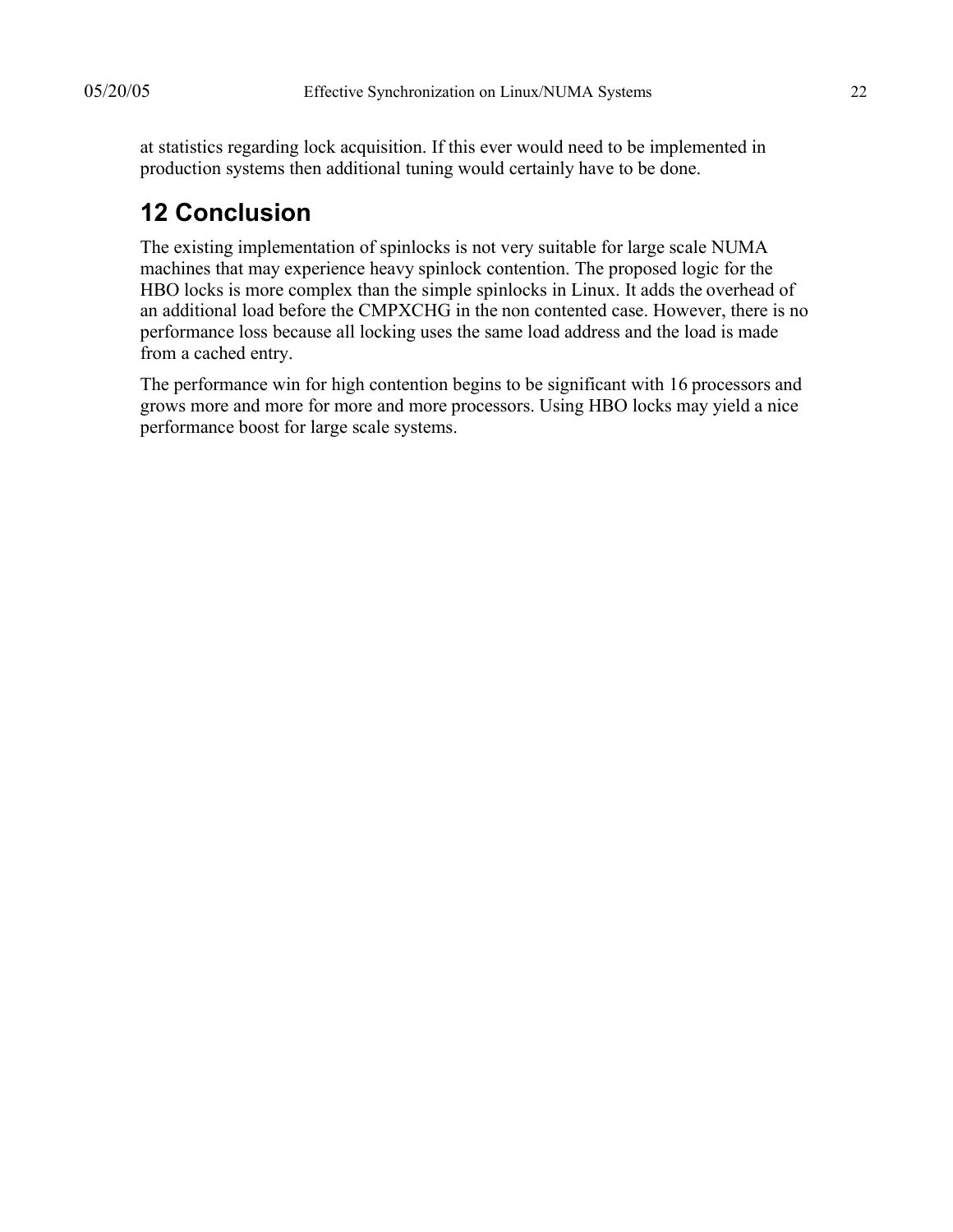at statistics regarding lock acquisition. If this ever would need to be implemented in production systems then additional tuning would certainly have to be done.

# **12 Conclusion**

The existing implementation of spinlocks is not very suitable for large scale NUMA machines that may experience heavy spinlock contention. The proposed logic for the HBO locks is more complex than the simple spinlocks in Linux. It adds the overhead of an additional load before the CMPXCHG in the non contented case. However, there is no performance loss because all locking uses the same load address and the load is made from a cached entry.

The performance win for high contention begins to be significant with 16 processors and grows more and more for more and more processors. Using HBO locks may yield a nice performance boost for large scale systems.